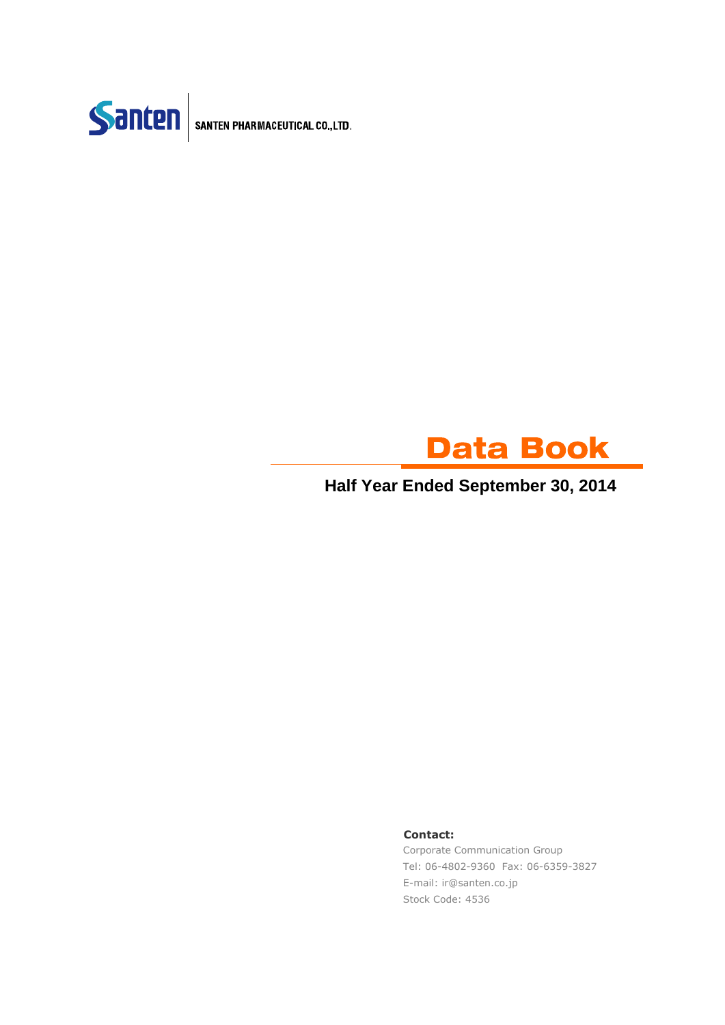

SANTEN PHARMACEUTICAL CO., LTD.



**Half Year Ended September 30, 2014**

#### **Contact:**

Corporate Communication Group Tel: 06-4802-9360 Fax: 06-6359-3827 E-mail: ir@santen.co.jp Stock Code: 4536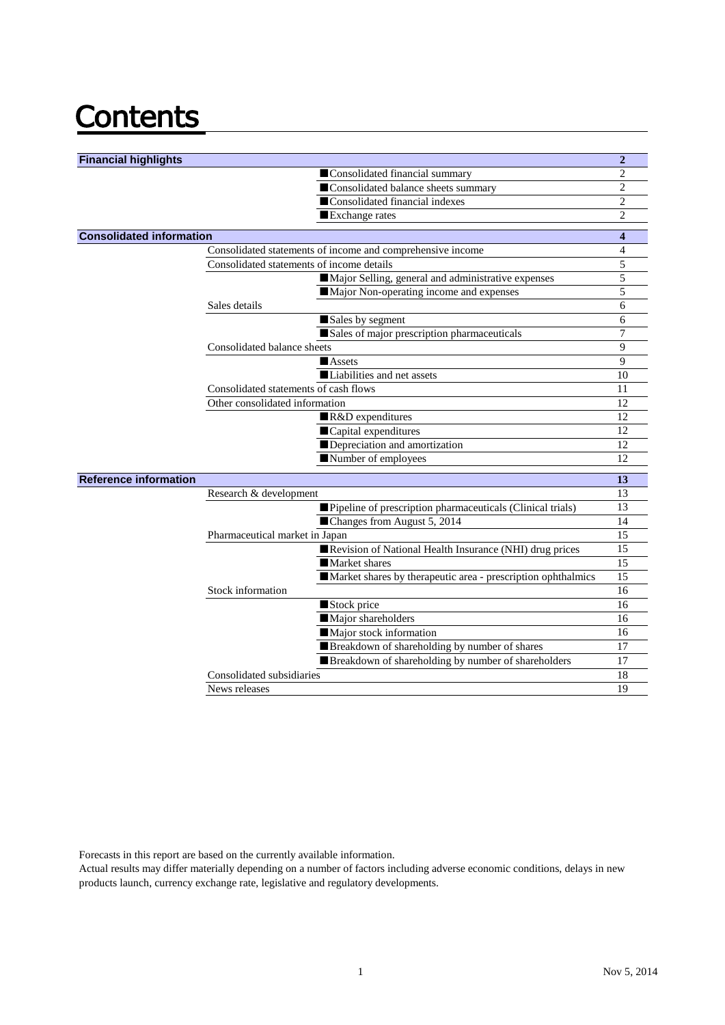# **Contents**

| <b>Financial highlights</b>     |                                                              | $\overline{2}$ |
|---------------------------------|--------------------------------------------------------------|----------------|
|                                 | Consolidated financial summary                               | $\mathbf{2}$   |
|                                 | Consolidated balance sheets summary                          | $\overline{2}$ |
|                                 | Consolidated financial indexes                               | $\mathbf{2}$   |
|                                 | Exchange rates                                               | $\overline{2}$ |
|                                 |                                                              |                |
| <b>Consolidated information</b> |                                                              | 4              |
|                                 | Consolidated statements of income and comprehensive income   | $\overline{4}$ |
|                                 | Consolidated statements of income details                    | 5              |
|                                 | Major Selling, general and administrative expenses           | 5              |
|                                 | Major Non-operating income and expenses                      | 5              |
|                                 | Sales details                                                | 6              |
|                                 | Sales by segment                                             | 6              |
|                                 | Sales of major prescription pharmaceuticals                  | 7              |
|                                 | Consolidated balance sheets                                  | 9              |
|                                 | <b>Assets</b>                                                | 9              |
|                                 | Liabilities and net assets                                   | 10             |
|                                 | Consolidated statements of cash flows                        | 11             |
|                                 | Other consolidated information                               | 12             |
|                                 | R&D expenditures                                             | 12             |
|                                 | Capital expenditures                                         | 12             |
|                                 | Depreciation and amortization                                | 12             |
|                                 | Number of employees                                          | 12             |
| <b>Reference information</b>    |                                                              | 13             |
|                                 | Research & development                                       | 13             |
|                                 | Pipeline of prescription pharmaceuticals (Clinical trials)   | 13             |
|                                 | Changes from August 5, 2014                                  | 14             |
|                                 | Pharmaceutical market in Japan                               | 15             |
|                                 | Revision of National Health Insurance (NHI) drug prices      | 15             |
|                                 | Market shares                                                | 15             |
|                                 | Market shares by therapeutic area - prescription ophthalmics | 15             |
|                                 | Stock information                                            | 16             |
|                                 | Stock price                                                  | 16             |
|                                 | Major shareholders                                           | 16             |
|                                 | Major stock information                                      | 16             |
|                                 | Breakdown of shareholding by number of shares                | 17             |
|                                 | Breakdown of shareholding by number of shareholders          | 17             |
|                                 | Consolidated subsidiaries                                    | 18             |
|                                 | News releases                                                | 19             |
|                                 |                                                              |                |

Forecasts in this report are based on the currently available information.

Actual results may differ materially depending on a number of factors including adverse economic conditions, delays in new products launch, currency exchange rate, legislative and regulatory developments.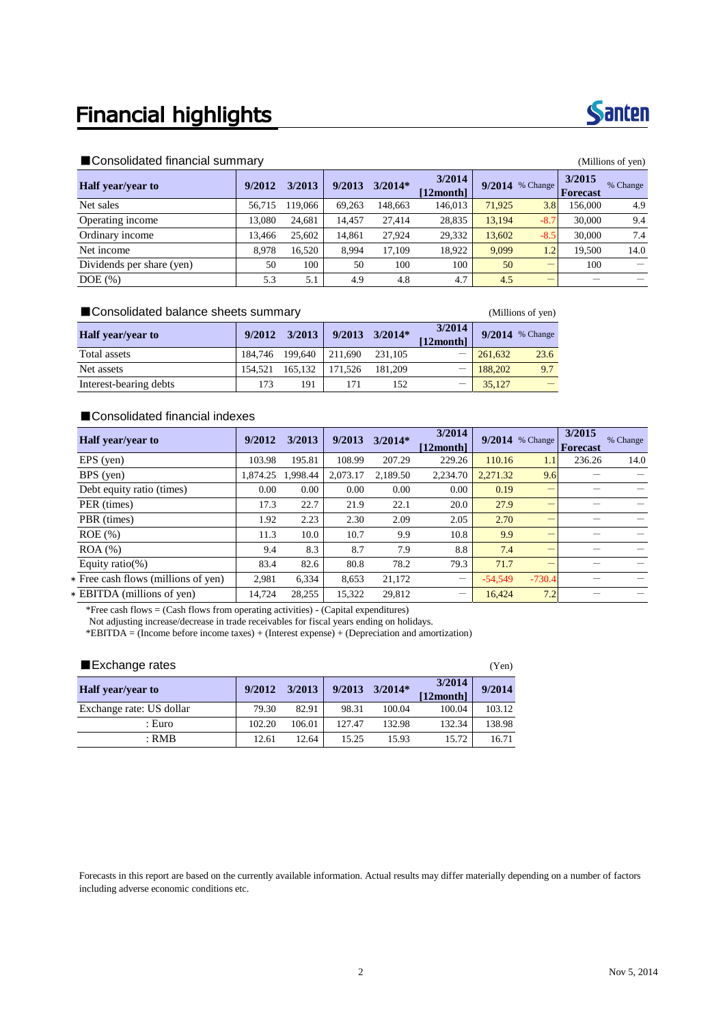### **Financial highlights**

#### ■Consolidated financial summary and the second state of the second state of the second of the second of the second of the second of the second of the second of the second of the second of the second of the second of the s

|                           | $-1 - 1$ |         |        |           |                     |        |                   |                    |          |  |  |  |
|---------------------------|----------|---------|--------|-----------|---------------------|--------|-------------------|--------------------|----------|--|--|--|
| <b>Half</b> year/year to  | 9/2012   | 3/2013  | 9/2013 | $3/2014*$ | 3/2014<br>[12month] |        | $9/2014$ % Change | 3/2015<br>Forecast | % Change |  |  |  |
| Net sales                 | 56.715   | 119.066 | 69,263 | 148,663   | 146,013             | 71.925 | 3.8               | 156.000            | 4.9      |  |  |  |
| Operating income          | 13.080   | 24.681  | 14.457 | 27,414    | 28,835              | 13,194 | $-8.7$            | 30,000             | 9.4      |  |  |  |
| Ordinary income           | 13.466   | 25,602  | 14,861 | 27,924    | 29,332              | 13,602 | $-8.5$            | 30,000             | 7.4      |  |  |  |
| Net income                | 8.978    | 16.520  | 8.994  | 17.109    | 18.922              | 9.099  | $1.2\,$           | 19.500             | 14.0     |  |  |  |
| Dividends per share (yen) | 50       | 100     | 50     | 100       | 100                 | 50     |                   | 100                |          |  |  |  |
| $DOE$ $(\%)$              | 5.3      | 5.1     | 4.9    | 4.8       | 4.7                 | 4.5    | –                 |                    |          |  |  |  |

#### ■ Consolidated balance sheets summary (Millions of yen)

| <b>Half</b> year/year to | 9/2012          | 3/2013  | $9/2013$ $3/2014*$ |         | 3/2014<br>[12month] |             | $9/2014$ % Change |
|--------------------------|-----------------|---------|--------------------|---------|---------------------|-------------|-------------------|
| Total assets             | 184.746 199.640 |         | 211.690            | 231.105 |                     | $- 261.632$ | 23.6              |
| Net assets               | 154.521         | 165.132 | 171.526            | 181.209 |                     | $-188,202$  | 9.7               |
| Interest-bearing debts   | 173             | 191     |                    | 152     |                     | 35,127      |                   |

#### ■Consolidated financial indexes

| Half year/year to                   | 9/2012   | 3/2013   | 9/2013   | $3/2014*$ | 3/2014<br>[12month]      | 9/2014    | % Change | 3/2015<br><b>Forecast</b> | % Change |
|-------------------------------------|----------|----------|----------|-----------|--------------------------|-----------|----------|---------------------------|----------|
| $EPS$ (yen)                         | 103.98   | 195.81   | 108.99   | 207.29    | 229.26                   | 110.16    | 1.1      | 236.26                    | 14.0     |
| BPS (yen)                           | 1.874.25 | 1.998.44 | 2.073.17 | 2.189.50  | 2.234.70                 | 2.271.32  | 9.6      |                           |          |
| Debt equity ratio (times)           | 0.00     | 0.00     | 0.00     | 0.00      | 0.00                     | 0.19      |          |                           |          |
| PER (times)                         | 17.3     | 22.7     | 21.9     | 22.1      | 20.0                     | 27.9      |          |                           |          |
| PBR (times)                         | 1.92     | 2.23     | 2.30     | 2.09      | 2.05                     | 2.70      |          |                           |          |
| $ROE$ (%)                           | 11.3     | 10.0     | 10.7     | 9.9       | 10.8                     | 9.9       |          |                           |          |
| $ROA (\%)$                          | 9.4      | 8.3      | 8.7      | 7.9       | 8.8                      | 7.4       |          |                           |          |
| Equity ratio(%)                     | 83.4     | 82.6     | 80.8     | 78.2      | 79.3                     | 71.7      |          |                           |          |
| * Free cash flows (millions of yen) | 2,981    | 6,334    | 8,653    | 21,172    | $\qquad \qquad -$        | $-54.549$ | $-730.4$ |                           |          |
| * EBITDA (millions of yen)          | 14.724   | 28.255   | 15.322   | 29.812    | $\overline{\phantom{m}}$ | 16.424    | 7.2      |                           |          |

\*Free cash flows = (Cash flows from operating activities) - (Capital expenditures)

Not adjusting increase/decrease in trade receivables for fiscal years ending on holidays.

\*EBITDA = (Income before income taxes) + (Interest expense) + (Depreciation and amortization)

| Exchange rates           |        |        |        |           |                     |        |  |  |  |
|--------------------------|--------|--------|--------|-----------|---------------------|--------|--|--|--|
| Half year/year to        | 9/2012 | 3/2013 | 9/2013 | $3/2014*$ | 3/2014<br>[12month] | 9/2014 |  |  |  |
| Exchange rate: US dollar | 79.30  | 82.91  | 98.31  | 100.04    | 100.04              | 103.12 |  |  |  |
| : Euro                   | 102.20 | 106.01 | 127.47 | 132.98    | 132.34              | 138.98 |  |  |  |
| : RMB                    | 12.61  | 12.64  | 15.25  | 15.93     | 15.72               | 16.71  |  |  |  |

Forecasts in this report are based on the currently available information. Actual results may differ materially depending on a number of factors including adverse economic conditions etc.

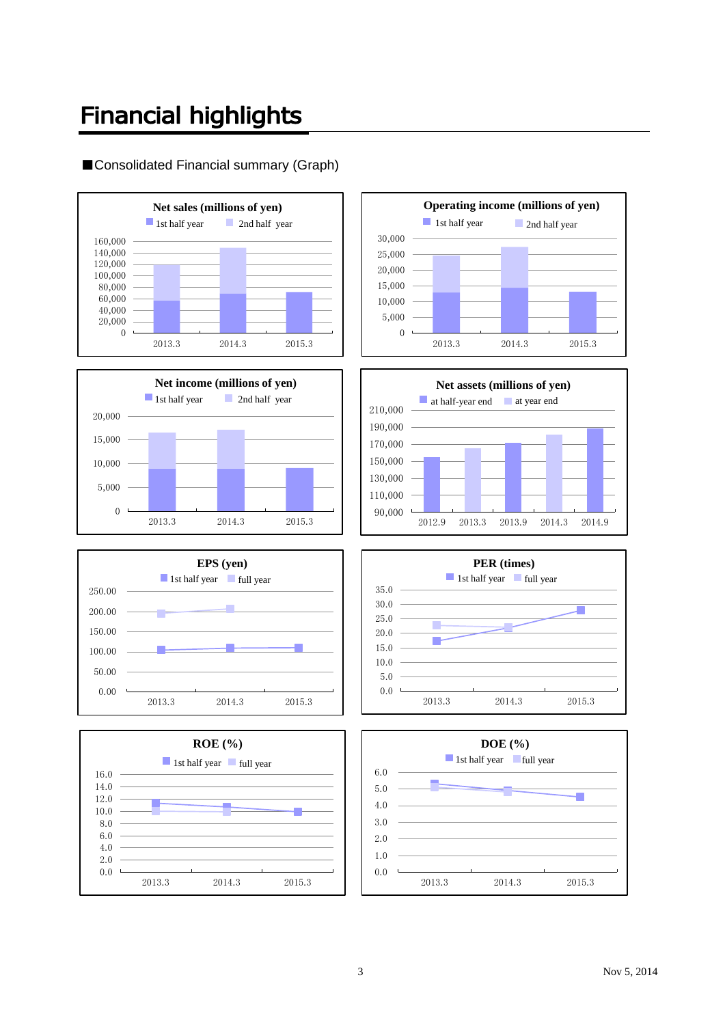### **Financial highlights**

### ■Consolidated Financial summary (Graph)















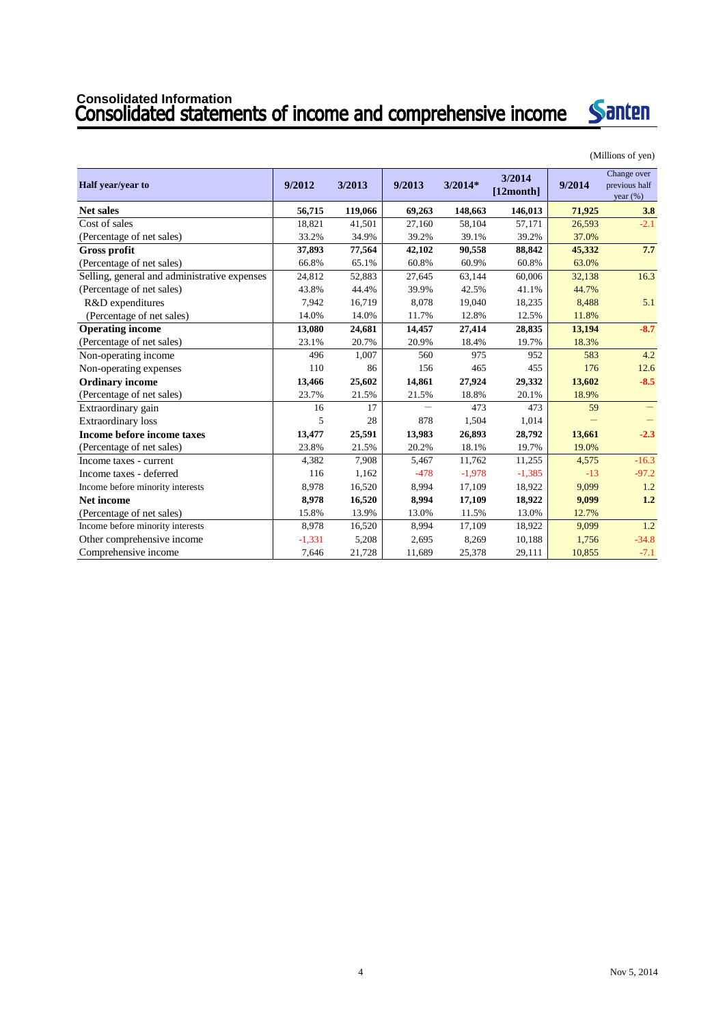# **Consolidated Information**



(Millions of yen)

| Half year/year to                            | 9/2012   | 3/2013  | 9/2013                   | $3/2014*$ | 3/2014<br>$[12$ month] | 9/2014 | Change over<br>previous half<br>year $(\%)$ |
|----------------------------------------------|----------|---------|--------------------------|-----------|------------------------|--------|---------------------------------------------|
| <b>Net sales</b>                             | 56,715   | 119,066 | 69,263                   | 148,663   | 146,013                | 71,925 | 3.8                                         |
| Cost of sales                                | 18,821   | 41,501  | 27,160                   | 58,104    | 57,171                 | 26,593 | $-2.1$                                      |
| (Percentage of net sales)                    | 33.2%    | 34.9%   | 39.2%                    | 39.1%     | 39.2%                  | 37.0%  |                                             |
| <b>Gross profit</b>                          | 37,893   | 77,564  | 42,102                   | 90,558    | 88,842                 | 45,332 | 7.7                                         |
| (Percentage of net sales)                    | 66.8%    | 65.1%   | 60.8%                    | 60.9%     | 60.8%                  | 63.0%  |                                             |
| Selling, general and administrative expenses | 24,812   | 52,883  | 27,645                   | 63,144    | 60,006                 | 32,138 | 16.3                                        |
| (Percentage of net sales)                    | 43.8%    | 44.4%   | 39.9%                    | 42.5%     | 41.1%                  | 44.7%  |                                             |
| R&D expenditures                             | 7,942    | 16,719  | 8,078                    | 19,040    | 18,235                 | 8,488  | 5.1                                         |
| (Percentage of net sales)                    | 14.0%    | 14.0%   | 11.7%                    | 12.8%     | 12.5%                  | 11.8%  |                                             |
| <b>Operating income</b>                      | 13,080   | 24,681  | 14,457                   | 27,414    | 28,835                 | 13,194 | $-8.7$                                      |
| (Percentage of net sales)                    | 23.1%    | 20.7%   | 20.9%                    | 18.4%     | 19.7%                  | 18.3%  |                                             |
| Non-operating income                         | 496      | 1,007   | 560                      | 975       | 952                    | 583    | 4.2                                         |
| Non-operating expenses                       | 110      | 86      | 156                      | 465       | 455                    | 176    | 12.6                                        |
| <b>Ordinary income</b>                       | 13,466   | 25,602  | 14,861                   | 27,924    | 29,332                 | 13,602 | $-8.5$                                      |
| (Percentage of net sales)                    | 23.7%    | 21.5%   | 21.5%                    | 18.8%     | 20.1%                  | 18.9%  |                                             |
| Extraordinary gain                           | 16       | 17      | $\overline{\phantom{0}}$ | 473       | 473                    | 59     | $\qquad \qquad =$                           |
| <b>Extraordinary</b> loss                    | 5        | 28      | 878                      | 1,504     | 1,014                  |        |                                             |
| Income before income taxes                   | 13,477   | 25,591  | 13,983                   | 26,893    | 28,792                 | 13,661 | $-2.3$                                      |
| (Percentage of net sales)                    | 23.8%    | 21.5%   | 20.2%                    | 18.1%     | 19.7%                  | 19.0%  |                                             |
| Income taxes - current                       | 4,382    | 7,908   | 5,467                    | 11,762    | 11,255                 | 4,575  | $-16.3$                                     |
| Income taxes - deferred                      | 116      | 1,162   | $-478$                   | $-1,978$  | $-1,385$               | $-13$  | $-97.2$                                     |
| Income before minority interests             | 8,978    | 16,520  | 8,994                    | 17,109    | 18,922                 | 9,099  | 1.2                                         |
| <b>Net income</b>                            | 8,978    | 16,520  | 8,994                    | 17,109    | 18,922                 | 9,099  | 1.2                                         |
| (Percentage of net sales)                    | 15.8%    | 13.9%   | 13.0%                    | 11.5%     | 13.0%                  | 12.7%  |                                             |
| Income before minority interests             | 8,978    | 16,520  | 8,994                    | 17,109    | 18,922                 | 9.099  | 1.2                                         |
| Other comprehensive income                   | $-1,331$ | 5,208   | 2,695                    | 8,269     | 10,188                 | 1,756  | $-34.8$                                     |
| Comprehensive income                         | 7,646    | 21,728  | 11,689                   | 25,378    | 29,111                 | 10,855 | $-7.1$                                      |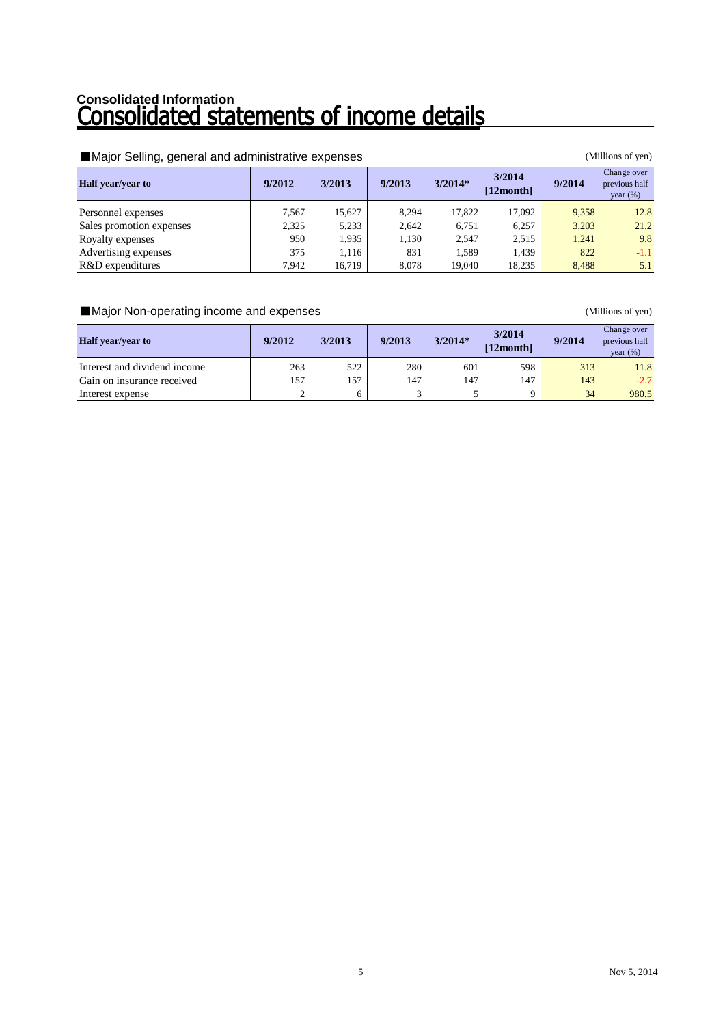# Consolidated Information<br>**Consolidated statements of income details**

### ■Major Selling, general and administrative expenses (Millions of yen)

| <b>Half</b> year/year to | 9/2012 | 3/2013 | 9/2013 | $3/2014*$ | 3/2014<br>$[12$ month $]$ | 9/2014 | Change over<br>previous half<br>year $(\%)$ |
|--------------------------|--------|--------|--------|-----------|---------------------------|--------|---------------------------------------------|
| Personnel expenses       | 7.567  | 15.627 | 8,294  | 17.822    | 17.092                    | 9,358  | 12.8                                        |
| Sales promotion expenses | 2,325  | 5,233  | 2.642  | 6.751     | 6.257                     | 3,203  | 21.2                                        |
| Royalty expenses         | 950    | 1.935  | 1,130  | 2,547     | 2,515                     | 1,241  | 9.8                                         |
| Advertising expenses     | 375    | 1.116  | 831    | 1.589     | 1.439                     | 822    | $-1.1$                                      |
| R&D expenditures         | 7.942  | 16.719 | 8.078  | 19.040    | 18,235                    | 8.488  | 5.1                                         |

### ■Major Non-operating income and expenses (Millions of yen)

| <b>Half</b> year/year to     | 9/2012 | 3/2013 | 9/2013 | $3/2014*$ | 3/2014<br>[12month] | 9/2014 | Change over<br>previous half<br>year $(\%)$ |
|------------------------------|--------|--------|--------|-----------|---------------------|--------|---------------------------------------------|
| Interest and dividend income | 263    | 522    | 280    | 601       | 598                 | 313    | 11.8                                        |
| Gain on insurance received   | 157    | 157    | 147    | 147       | 147                 | 143    | $-2.7$                                      |
| Interest expense             |        |        |        |           |                     | 34     | 980.5                                       |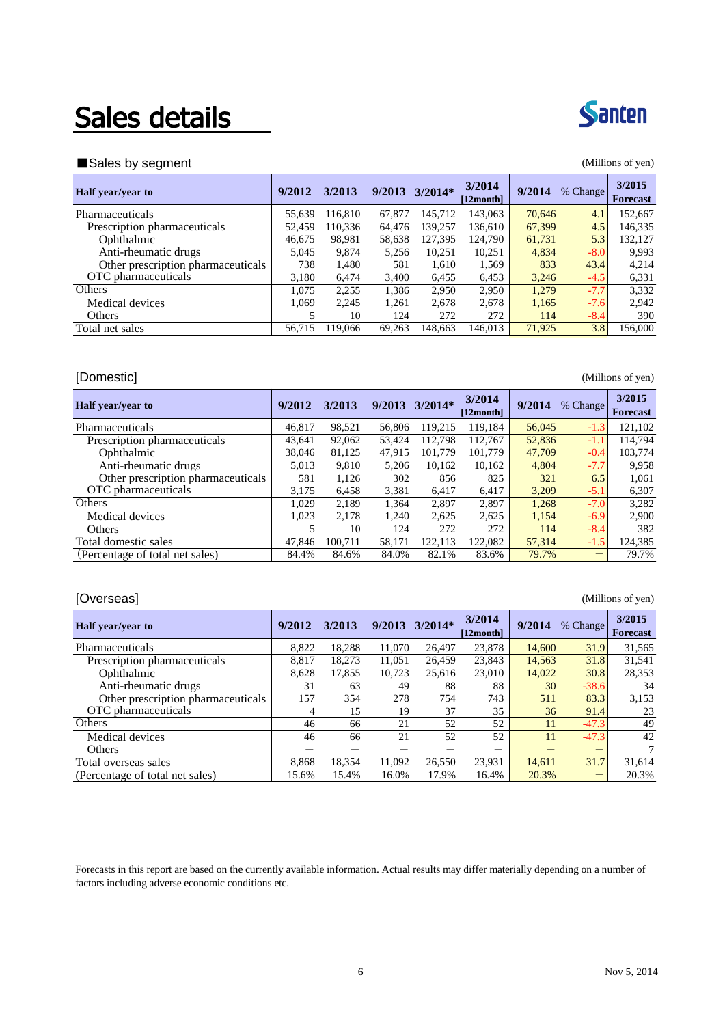## Sales details

| Sales by segment<br>(Millions of yen) |        |         |        |           |                    |        |          |                           |  |  |  |
|---------------------------------------|--------|---------|--------|-----------|--------------------|--------|----------|---------------------------|--|--|--|
| Half year/year to                     | 9/2012 | 3/2013  | 9/2013 | $3/2014*$ | 3/2014<br>12month1 | 9/2014 | % Change | 3/2015<br><b>Forecast</b> |  |  |  |
| Pharmaceuticals                       | 55,639 | 116,810 | 67,877 | 145.712   | 143,063            | 70.646 | 4.1      | 152,667                   |  |  |  |
| Prescription pharmaceuticals          | 52.459 | 110.336 | 64,476 | 139,257   | 136.610            | 67,399 | 4.5      | 146,335                   |  |  |  |
| Ophthalmic                            | 46.675 | 98,981  | 58,638 | 127,395   | 124,790            | 61,731 | 5.3      | 132,127                   |  |  |  |
| Anti-rheumatic drugs                  | 5,045  | 9,874   | 5,256  | 10.251    | 10,251             | 4,834  | $-8.0$   | 9.993                     |  |  |  |
| Other prescription pharmaceuticals    | 738    | 1,480   | 581    | 1.610     | 1,569              | 833    | 43.4     | 4,214                     |  |  |  |
| OTC pharmaceuticals                   | 3,180  | 6,474   | 3,400  | 6,455     | 6,453              | 3,246  | $-4.5$   | 6,331                     |  |  |  |
| Others                                | 1.075  | 2,255   | 1,386  | 2,950     | 2,950              | 1,279  | $-7.7$   | 3,332                     |  |  |  |
| Medical devices                       | 1.069  | 2,245   | 1,261  | 2,678     | 2,678              | 1,165  | $-7.6$   | 2.942                     |  |  |  |
| Others                                | 5      | 10      | 124    | 272       | 272                | 114    | $-8.4$   | 390                       |  |  |  |
| Total net sales                       | 56.715 | 119,066 | 69.263 | 148.663   | 146,013            | 71.925 | 3.8      | 156,000                   |  |  |  |

### [Domestic] (Millions of yen)

| <b>Half</b> year/year to           | 9/2012 | 3/2013  | 9/2013 | $3/2014*$ | 3/2014<br>[12month] | 9/2014 | % Change | 3/2015<br><b>Forecast</b> |
|------------------------------------|--------|---------|--------|-----------|---------------------|--------|----------|---------------------------|
| Pharmaceuticals                    | 46,817 | 98,521  | 56,806 | 119.215   | 119.184             | 56,045 | $-1.3$   | 121,102                   |
| Prescription pharmaceuticals       | 43.641 | 92,062  | 53.424 | 112.798   | 112.767             | 52,836 | $-1.1$   | 114.794                   |
| Ophthalmic                         | 38,046 | 81.125  | 47.915 | 101.779   | 101.779             | 47.709 | $-0.4$   | 103,774                   |
| Anti-rheumatic drugs               | 5,013  | 9.810   | 5.206  | 10.162    | 10.162              | 4.804  | $-7.7$   | 9.958                     |
| Other prescription pharmaceuticals | 581    | 1,126   | 302    | 856       | 825                 | 321    | 6.5      | 1,061                     |
| OTC pharmaceuticals                | 3,175  | 6,458   | 3,381  | 6.417     | 6.417               | 3.209  | $-5.1$   | 6,307                     |
| Others                             | 1.029  | 2,189   | 1.364  | 2,897     | 2,897               | 1,268  | $-7.0$   | 3,282                     |
| Medical devices                    | 1.023  | 2,178   | 1.240  | 2,625     | 2,625               | 1,154  | $-6.9$   | 2.900                     |
| <b>Others</b>                      |        | 10      | 124    | 272       | 272                 | 114    | $-8.4$   | 382                       |
| Total domestic sales               | 47.846 | 100.711 | 58.171 | 122.113   | 122.082             | 57,314 | $-1.5$   | 124,385                   |
| (Percentage of total net sales)    | 84.4%  | 84.6%   | 84.0%  | 82.1%     | 83.6%               | 79.7%  | –        | 79.7%                     |

### [Overseas] (Millions of yen)

| <b>Half</b> year/year to           | 9/2012 | 3/2013 | 9/2013 | $3/2014*$ | 3/2014<br>[12month] | 9/2014 | % Change | 3/2015<br><b>Forecast</b> |
|------------------------------------|--------|--------|--------|-----------|---------------------|--------|----------|---------------------------|
| Pharmaceuticals                    | 8.822  | 18,288 | 11.070 | 26.497    | 23,878              | 14,600 | 31.9     | 31,565                    |
| Prescription pharmaceuticals       | 8.817  | 18,273 | 11.051 | 26.459    | 23,843              | 14.563 | 31.8     | 31,541                    |
| Ophthalmic                         | 8,628  | 17,855 | 10,723 | 25,616    | 23,010              | 14,022 | 30.8     | 28,353                    |
| Anti-rheumatic drugs               | 31     | 63     | 49     | 88        | 88                  | 30     | $-38.6$  | 34                        |
| Other prescription pharmaceuticals | 157    | 354    | 278    | 754       | 743                 | 511    | 83.3     | 3,153                     |
| OTC pharmaceuticals                | 4      | 15     | 19     | 37        | 35                  | 36     | 91.4     | 23                        |
| Others                             | 46     | 66     | 21     | 52        | 52                  | 11     | $-47.3$  | 49                        |
| Medical devices                    | 46     | 66     | 21     | 52        | 52                  | 11     | $-47.3$  | 42                        |
| <b>Others</b>                      |        |        |        |           | –                   |        |          |                           |
| Total overseas sales               | 8,868  | 18,354 | 11.092 | 26,550    | 23,931              | 14.611 | 31.7     | 31,614                    |
| (Percentage of total net sales)    | 15.6%  | 15.4%  | 16.0%  | 17.9%     | 16.4%               | 20.3%  |          | 20.3%                     |

Forecasts in this report are based on the currently available information. Actual results may differ materially depending on a number of factors including adverse economic conditions etc.

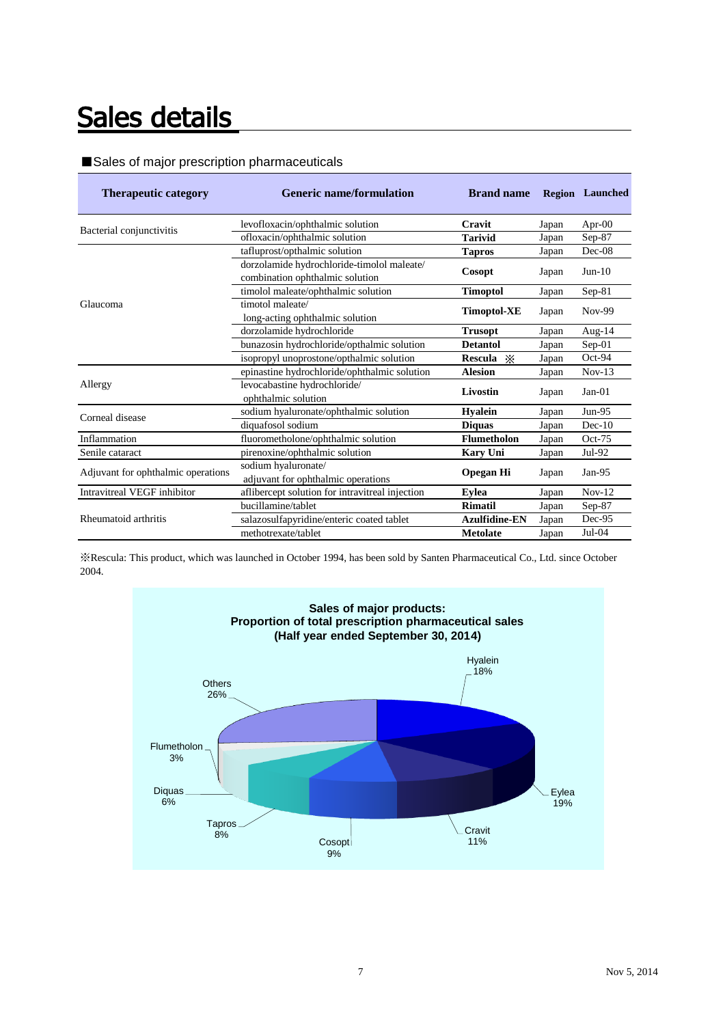## Sales details

#### ■Sales of major prescription pharmaceuticals

| <b>Therapeutic category</b>        | <b>Generic name/formulation</b>                 | <b>Brand name</b>    |       | <b>Region</b> Launched |
|------------------------------------|-------------------------------------------------|----------------------|-------|------------------------|
| Bacterial conjunctivitis           | levofloxacin/ophthalmic solution                | Cravit               | Japan | Apr- $00$              |
|                                    | ofloxacin/ophthalmic solution                   | <b>Tarivid</b>       | Japan | $Sep-87$               |
|                                    | tafluprost/opthalmic solution                   | <b>Tapros</b>        | Japan | $Dec-08$               |
|                                    | dorzolamide hydrochloride-timolol maleate/      |                      |       | $Jun-10$               |
|                                    | combination ophthalmic solution                 | Cosopt               | Japan |                        |
|                                    | timolol maleate/ophthalmic solution             | <b>Timoptol</b>      | Japan | $Sep-81$               |
| Glaucoma                           | timotol maleate/                                |                      |       | Nov-99                 |
|                                    | long-acting ophthalmic solution                 | <b>Timoptol-XE</b>   | Japan |                        |
|                                    | dorzolamide hydrochloride                       | <b>Trusopt</b>       | Japan | Aug- $14$              |
|                                    | bunazosin hydrochloride/opthalmic solution      | <b>Detantol</b>      | Japan | $Sep-01$               |
|                                    | isopropyl unoprostone/opthalmic solution        | Rescula $\mathbb{X}$ | Japan | $Oct-94$               |
|                                    | epinastine hydrochloride/ophthalmic solution    | <b>Alesion</b>       | Japan | $Nov-13$               |
| Allergy                            | levocabastine hydrochloride/                    | Livostin             |       | $Jan-01$               |
|                                    | ophthalmic solution                             |                      | Japan |                        |
| Corneal disease                    | sodium hyaluronate/ophthalmic solution          | <b>Hyalein</b>       | Japan | $Jun-95$               |
|                                    | diquafosol sodium                               | <b>Diquas</b>        | Japan | $Dec-10$               |
| Inflammation                       | fluorometholone/ophthalmic solution             | <b>Flumetholon</b>   | Japan | $Oct-75$               |
| Senile cataract                    | pirenoxine/ophthalmic solution                  | <b>Kary Uni</b>      | Japan | Jul-92                 |
|                                    | sodium hyaluronate/                             |                      |       | Jan- $95$              |
| Adjuvant for ophthalmic operations | adjuvant for ophthalmic operations              | <b>Opegan Hi</b>     | Japan |                        |
| Intravitreal VEGF inhibitor        | aflibercept solution for intravitreal injection | Evlea                | Japan | $Nov-12$               |
|                                    | bucillamine/tablet                              | <b>Rimatil</b>       | Japan | $Sep-87$               |
| Rheumatoid arthritis               | salazosulfapyridine/enteric coated tablet       | <b>Azulfidine-EN</b> | Japan | Dec-95                 |
|                                    | methotrexate/tablet                             | <b>Metolate</b>      | Japan | $Jul-04$               |

※Rescula: This product, which was launched in October 1994, has been sold by Santen Pharmaceutical Co., Ltd. since October 2004.

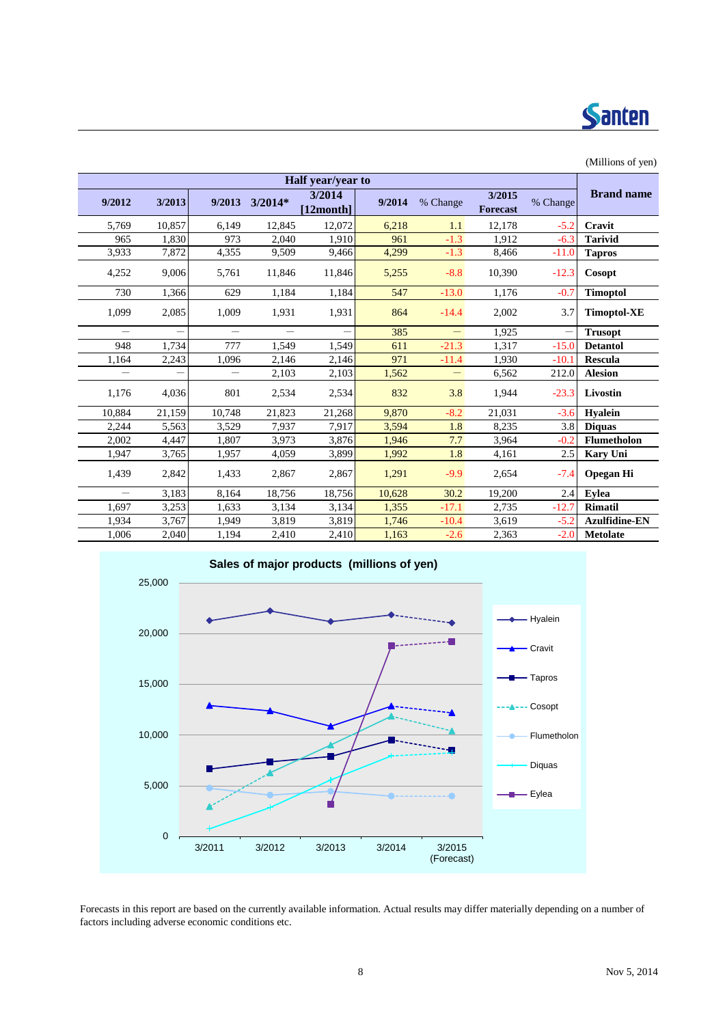

| (1.111110110011)         |        |                          |           |                           |        |                   |                           |          |                      |  |  |  |  |
|--------------------------|--------|--------------------------|-----------|---------------------------|--------|-------------------|---------------------------|----------|----------------------|--|--|--|--|
|                          |        |                          |           | Half year/year to         |        |                   |                           |          |                      |  |  |  |  |
| 9/2012                   | 3/2013 | 9/2013                   | $3/2014*$ | 3/2014<br>$[12$ month $]$ | 9/2014 | % Change          | 3/2015<br><b>Forecast</b> | % Change | <b>Brand name</b>    |  |  |  |  |
| 5,769                    | 10,857 | 6,149                    | 12,845    | 12,072                    | 6,218  | 1.1               | 12,178                    | $-5.2$   | Cravit               |  |  |  |  |
| 965                      | 1,830  | 973                      | 2,040     | 1,910                     | 961    | $-1.3$            | 1,912                     | $-6.3$   | <b>Tarivid</b>       |  |  |  |  |
| 3,933                    | 7,872  | 4,355                    | 9,509     | 9,466                     | 4,299  | $-1.3$            | 8,466                     | $-11.0$  | <b>Tapros</b>        |  |  |  |  |
| 4,252                    | 9,006  | 5,761                    | 11,846    | 11,846                    | 5,255  | $-8.8$            | 10,390                    | $-12.3$  | Cosopt               |  |  |  |  |
| 730                      | 1,366  | 629                      | 1,184     | 1,184                     | 547    | $-13.0$           | 1,176                     | $-0.7$   | <b>Timoptol</b>      |  |  |  |  |
| 1,099                    | 2,085  | 1,009                    | 1,931     | 1,931                     | 864    | $-14.4$           | 2,002                     | 3.7      | <b>Timoptol-XE</b>   |  |  |  |  |
| $\overline{\phantom{0}}$ | -      | $\overline{\phantom{0}}$ |           |                           | 385    | $\qquad \qquad -$ | 1,925                     |          | <b>Trusopt</b>       |  |  |  |  |
| 948                      | 1,734  | 777                      | 1,549     | 1,549                     | 611    | $-21.3$           | 1,317                     | $-15.0$  | <b>Detantol</b>      |  |  |  |  |
| 1,164                    | 2,243  | 1,096                    | 2,146     | 2,146                     | 971    | $-11.4$           | 1,930                     | $-10.1$  | <b>Rescula</b>       |  |  |  |  |
| $\overline{\phantom{0}}$ |        | $\overline{\phantom{0}}$ | 2,103     | 2,103                     | 1,562  | $\qquad \qquad -$ | 6,562                     | 212.0    | <b>Alesion</b>       |  |  |  |  |
| 1,176                    | 4,036  | 801                      | 2,534     | 2,534                     | 832    | 3.8               | 1,944                     | $-23.3$  | Livostin             |  |  |  |  |
| 10,884                   | 21,159 | 10,748                   | 21,823    | 21,268                    | 9,870  | $-8.2$            | 21,031                    | $-3.6$   | <b>Hyalein</b>       |  |  |  |  |
| 2,244                    | 5,563  | 3,529                    | 7,937     | 7,917                     | 3,594  | 1.8               | 8,235                     | 3.8      | <b>Diquas</b>        |  |  |  |  |
| 2,002                    | 4,447  | 1,807                    | 3,973     | 3,876                     | 1,946  | 7.7               | 3,964                     | $-0.2$   | Flumetholon          |  |  |  |  |
| 1,947                    | 3,765  | 1,957                    | 4,059     | 3,899                     | 1,992  | 1.8               | 4,161                     | 2.5      | <b>Kary Uni</b>      |  |  |  |  |
| 1,439                    | 2,842  | 1,433                    | 2,867     | 2,867                     | 1,291  | $-9.9$            | 2,654                     | $-7.4$   | <b>Opegan Hi</b>     |  |  |  |  |
| $\overline{\phantom{0}}$ | 3,183  | 8,164                    | 18,756    | 18,756                    | 10,628 | 30.2              | 19,200                    | 2.4      | <b>Eylea</b>         |  |  |  |  |
| 1,697                    | 3,253  | 1,633                    | 3,134     | 3,134                     | 1,355  | $-17.1$           | 2,735                     | $-12.7$  | <b>Rimatil</b>       |  |  |  |  |
| 1,934                    | 3,767  | 1,949                    | 3,819     | 3,819                     | 1,746  | $-10.4$           | 3,619                     | $-5.2$   | <b>Azulfidine-EN</b> |  |  |  |  |
| 1,006                    | 2,040  | 1,194                    | 2,410     | 2,410                     | 1,163  | $-2.6$            | 2,363                     | $-2.0$   | <b>Metolate</b>      |  |  |  |  |



Forecasts in this report are based on the currently available information. Actual results may differ materially depending on a number of factors including adverse economic conditions etc.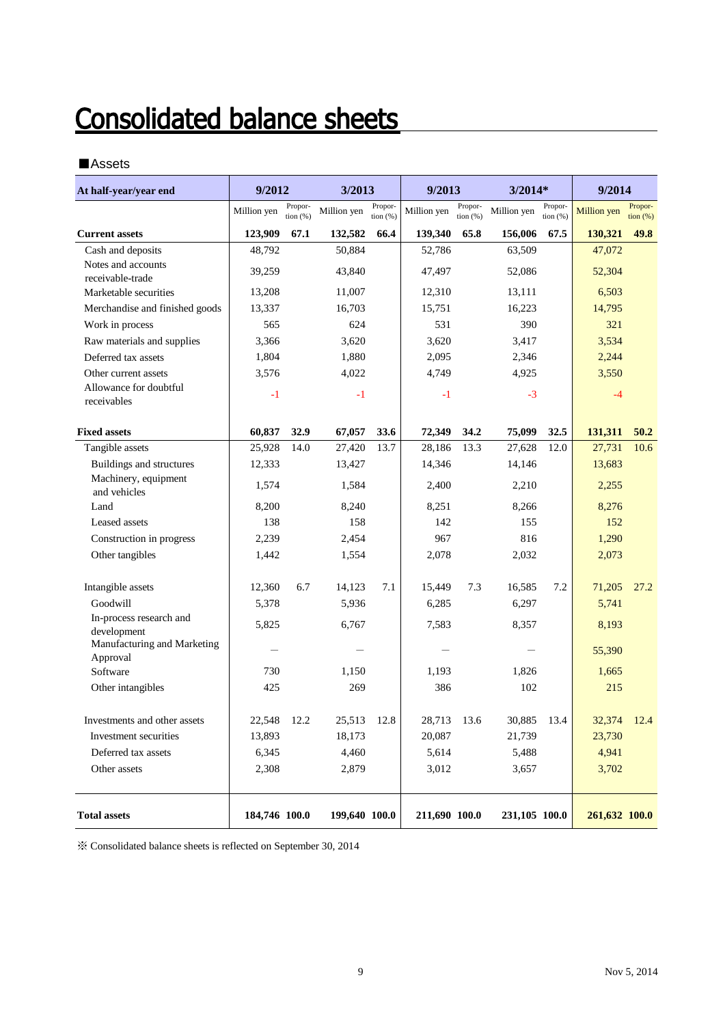# **Consolidated balance sheets**

### ■Assets

| At half-year/year end                   | 9/2012        |                       | 3/2013        |                       | 9/2013        |                     | 3/2014*       |                       | 9/2014             |                              |
|-----------------------------------------|---------------|-----------------------|---------------|-----------------------|---------------|---------------------|---------------|-----------------------|--------------------|------------------------------|
|                                         | Million yen   | Propor-<br>tion $(%)$ | Million yen   | Propor-<br>tion $(%)$ | Million yen   | Propor-<br>tion (%) | Million yen   | Propor-<br>tion $(%)$ | <b>Million</b> yen | Propor-<br>$\frac{1}{2}$ (%) |
| <b>Current assets</b>                   | 123,909       | 67.1                  | 132,582       | 66.4                  | 139,340       | 65.8                | 156,006       | 67.5                  | 130,321            | 49.8                         |
| Cash and deposits                       | 48,792        |                       | 50,884        |                       | 52,786        |                     | 63,509        |                       | 47,072             |                              |
| Notes and accounts<br>receivable-trade  | 39,259        |                       | 43,840        |                       | 47,497        |                     | 52,086        |                       | 52,304             |                              |
| Marketable securities                   | 13,208        |                       | 11,007        |                       | 12,310        |                     | 13,111        |                       | 6,503              |                              |
| Merchandise and finished goods          | 13,337        |                       | 16,703        |                       | 15,751        |                     | 16,223        |                       | 14,795             |                              |
| Work in process                         | 565           |                       | 624           |                       | 531           |                     | 390           |                       | 321                |                              |
| Raw materials and supplies              | 3,366         |                       | 3,620         |                       | 3,620         |                     | 3,417         |                       | 3,534              |                              |
| Deferred tax assets                     | 1,804         |                       | 1,880         |                       | 2,095         |                     | 2,346         |                       | 2,244              |                              |
| Other current assets                    | 3,576         |                       | 4,022         |                       | 4,749         |                     | 4,925         |                       | 3,550              |                              |
| Allowance for doubtful<br>receivables   | $-1$          |                       | $-1$          |                       | $-1$          |                     | $-3$          |                       | $-4$               |                              |
| <b>Fixed assets</b>                     | 60,837        | 32.9                  | 67,057        | 33.6                  | 72,349        | 34.2                | 75,099        | 32.5                  | 131,311            | 50.2                         |
| Tangible assets                         | 25,928        | 14.0                  | 27,420        | 13.7                  | 28,186        | 13.3                | 27,628        | 12.0                  | 27,731             | 10.6                         |
| Buildings and structures                | 12,333        |                       | 13,427        |                       | 14,346        |                     | 14,146        |                       | 13,683             |                              |
| Machinery, equipment<br>and vehicles    | 1,574         |                       | 1,584         |                       | 2,400         |                     | 2,210         |                       | 2,255              |                              |
| Land                                    | 8,200         |                       | 8,240         |                       | 8,251         |                     | 8,266         |                       | 8,276              |                              |
| Leased assets                           | 138           |                       | 158           |                       | 142           |                     | 155           |                       | 152                |                              |
| Construction in progress                | 2,239         |                       | 2,454         |                       | 967           |                     | 816           |                       | 1,290              |                              |
| Other tangibles                         | 1,442         |                       | 1,554         |                       | 2,078         |                     | 2,032         |                       | 2,073              |                              |
| Intangible assets                       | 12,360        | 6.7                   | 14,123        | 7.1                   | 15,449        | 7.3                 | 16,585        | 7.2                   | 71,205             | 27.2                         |
| Goodwill                                | 5,378         |                       | 5,936         |                       | 6,285         |                     | 6,297         |                       | 5,741              |                              |
| In-process research and<br>development  | 5,825         |                       | 6,767         |                       | 7,583         |                     | 8,357         |                       | 8,193              |                              |
| Manufacturing and Marketing<br>Approval |               |                       |               |                       |               |                     |               |                       | 55,390             |                              |
| Software                                | 730           |                       | 1,150         |                       | 1,193         |                     | 1,826         |                       | 1,665              |                              |
| Other intangibles                       | 425           |                       | 269           |                       | 386           |                     | 102           |                       | 215                |                              |
| Investments and other assets            | 22,548        | 12.2                  | 25,513        | 12.8                  | 28,713 13.6   |                     | 30,885        | 13.4                  | 32,374 12.4        |                              |
| Investment securities                   | 13,893        |                       | 18,173        |                       | 20,087        |                     | 21,739        |                       | 23,730             |                              |
| Deferred tax assets                     | 6,345         |                       | 4,460         |                       | 5,614         |                     | 5,488         |                       | 4,941              |                              |
| Other assets                            | 2,308         |                       | 2,879         |                       | 3,012         |                     | 3,657         |                       | 3,702              |                              |
| <b>Total assets</b>                     | 184,746 100.0 |                       | 199,640 100.0 |                       | 211,690 100.0 |                     | 231,105 100.0 |                       | 261,632 100.0      |                              |

※ Consolidated balance sheets is reflected on September 30, 2014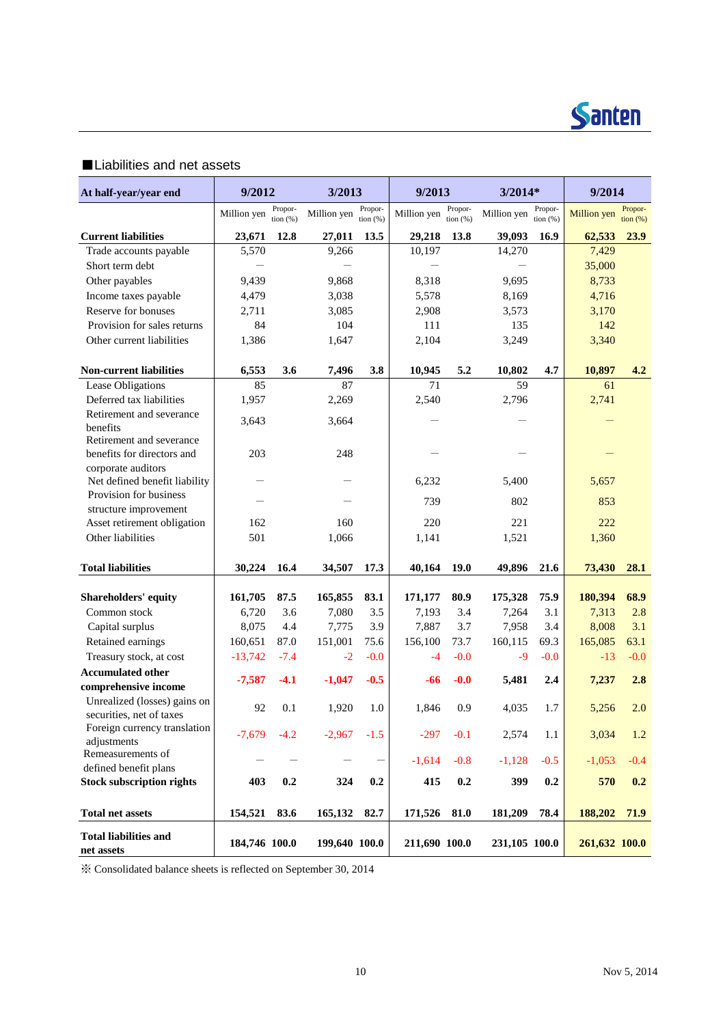

### ■Liabilities and net assets

| At half-year/year end                               | 9/2012        |                       | 3/2013        |                       | 9/2013        |                     | $3/2014*$     |                        | 9/2014        |                     |
|-----------------------------------------------------|---------------|-----------------------|---------------|-----------------------|---------------|---------------------|---------------|------------------------|---------------|---------------------|
|                                                     | Million yen   | Propor-<br>tion $(%)$ | Million yen   | Propor-<br>tion $(%)$ | Million yen   | Propor-<br>tion (%) | Million yen   | Propor-<br>tion $(% )$ | Million yen   | Propor-<br>tion (%) |
| <b>Current liabilities</b>                          | 23,671        | 12.8                  | 27,011        | 13.5                  | 29,218        | 13.8                | 39,093        | 16.9                   | 62,533        | 23.9                |
| Trade accounts payable                              | 5,570         |                       | 9,266         |                       | 10,197        |                     | 14,270        |                        | 7,429         |                     |
| Short term debt                                     |               |                       |               |                       |               |                     |               |                        | 35,000        |                     |
| Other payables                                      | 9,439         |                       | 9,868         |                       | 8,318         |                     | 9,695         |                        | 8,733         |                     |
| Income taxes payable                                | 4,479         |                       | 3,038         |                       | 5,578         |                     | 8,169         |                        | 4,716         |                     |
| Reserve for bonuses                                 | 2,711         |                       | 3,085         |                       | 2,908         |                     | 3,573         |                        | 3,170         |                     |
| Provision for sales returns                         | 84            |                       | 104           |                       | 111           |                     | 135           |                        | 142           |                     |
| Other current liabilities                           | 1,386         |                       | 1,647         |                       | 2,104         |                     | 3,249         |                        | 3,340         |                     |
| <b>Non-current liabilities</b>                      | 6,553         | 3.6                   | 7,496         | 3.8                   | 10,945        | 5.2                 | 10,802        | 4.7                    | 10,897        | 4.2                 |
| Lease Obligations                                   | 85            |                       | 87            |                       | 71            |                     | 59            |                        | 61            |                     |
| Deferred tax liabilities                            | 1,957         |                       | 2,269         |                       | 2,540         |                     | 2,796         |                        | 2,741         |                     |
| Retirement and severance                            | 3,643         |                       | 3,664         |                       |               |                     |               |                        |               |                     |
| benefits                                            |               |                       |               |                       |               |                     |               |                        |               |                     |
| Retirement and severance                            |               |                       |               |                       |               |                     |               |                        |               |                     |
| benefits for directors and                          | 203           |                       | 248           |                       |               |                     |               |                        |               |                     |
| corporate auditors<br>Net defined benefit liability |               |                       |               |                       | 6,232         |                     | 5,400         |                        | 5,657         |                     |
| Provision for business                              |               |                       |               |                       |               |                     |               |                        |               |                     |
| structure improvement                               |               |                       |               |                       | 739           |                     | 802           |                        | 853           |                     |
| Asset retirement obligation                         | 162           |                       | 160           |                       | 220           |                     | 221           |                        | 222           |                     |
| Other liabilities                                   | 501           |                       | 1,066         |                       | 1,141         |                     | 1,521         |                        | 1,360         |                     |
| <b>Total liabilities</b>                            | 30,224        | 16.4                  | 34,507        | 17.3                  | 40,164        | 19.0                | 49,896        | 21.6                   | 73,430        | 28.1                |
| <b>Shareholders' equity</b>                         | 161,705       | 87.5                  | 165,855       | 83.1                  | 171,177       | 80.9                | 175,328       | 75.9                   | 180,394       | 68.9                |
| Common stock                                        | 6,720         | 3.6                   | 7,080         | 3.5                   | 7,193         | 3.4                 | 7,264         | 3.1                    | 7,313         | 2.8                 |
| Capital surplus                                     | 8,075         | 4.4                   | 7,775         | 3.9                   | 7,887         | 3.7                 | 7,958         | 3.4                    | 8,008         | 3.1                 |
| Retained earnings                                   | 160,651       | 87.0                  | 151,001       | 75.6                  | 156,100       | 73.7                | 160,115       | 69.3                   | 165,085       | 63.1                |
| Treasury stock, at cost                             | $-13,742$     | $-7.4$                | $-2$          | $-0.0$                | $-4$          | $-0.0$              | $-9$          | $-0.0$                 | $-13$         | $-0.0$              |
| <b>Accumulated other</b>                            |               |                       |               |                       |               |                     |               |                        |               |                     |
| comprehensive income                                | $-7,587$      | $-4.1$                | $-1,047$      | $-0.5$                | -66           | $-0.0$              | 5,481         | 2.4                    | 7,237         | 2.8                 |
| Unrealized (losses) gains on                        | 92            | 0.1                   | 1,920         | 1.0                   | 1,846         | 0.9                 | 4,035         | 1.7                    | 5,256         | 2.0                 |
| securities, net of taxes                            |               |                       |               |                       |               |                     |               |                        |               |                     |
| Foreign currency translation                        | $-7,679$      | $-4.2$                | $-2,967$      | $-1.5$                | $-297$        | $-0.1$              | 2,574         | 1.1                    | 3,034         | 1.2                 |
| adjustments<br>Remeasurements of                    |               |                       |               |                       |               |                     |               |                        |               |                     |
| defined benefit plans                               |               |                       |               |                       | $-1,614$      | $-0.8$              | $-1,128$      | $-0.5$                 | $-1,053$      | $-0.4$              |
| <b>Stock subscription rights</b>                    | 403           | 0.2                   | 324           | 0.2                   | 415           | $0.2\,$             | 399           | 0.2                    | 570           | 0.2                 |
| <b>Total net assets</b>                             | 154,521       | 83.6                  | 165,132       | 82.7                  | 171,526       | 81.0                | 181,209       | 78.4                   | 188,202       | <b>71.9</b>         |
|                                                     |               |                       |               |                       |               |                     |               |                        |               |                     |
| <b>Total liabilities and</b><br>net assets          | 184,746 100.0 |                       | 199,640 100.0 |                       | 211,690 100.0 |                     | 231,105 100.0 |                        | 261,632 100.0 |                     |

※ Consolidated balance sheets is reflected on September 30, 2014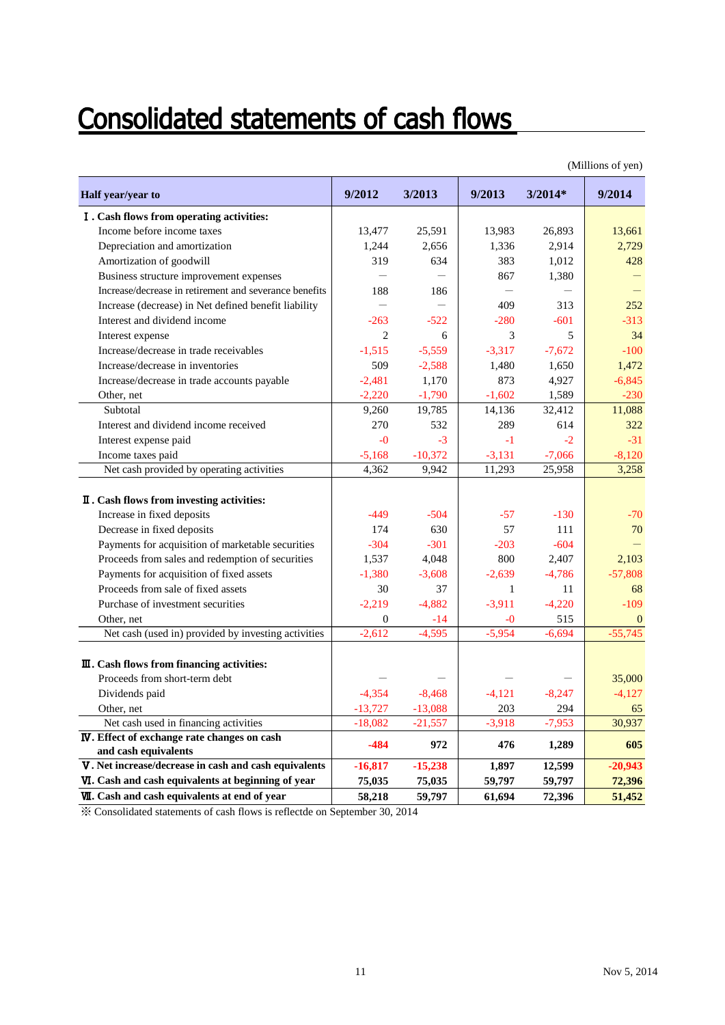# **Consolidated statements of cash flows**

| Half year/year to                                      | 9/2012                   | 3/2013    | 9/2013   | $3/2014*$ | 9/2014    |
|--------------------------------------------------------|--------------------------|-----------|----------|-----------|-----------|
| I. Cash flows from operating activities:               |                          |           |          |           |           |
| Income before income taxes                             | 13,477                   | 25,591    | 13,983   | 26,893    | 13,661    |
| Depreciation and amortization                          | 1,244                    | 2,656     | 1,336    | 2,914     | 2,729     |
| Amortization of goodwill                               | 319                      | 634       | 383      | 1,012     | 428       |
| Business structure improvement expenses                |                          |           | 867      | 1,380     |           |
| Increase/decrease in retirement and severance benefits | 188                      | 186       |          |           |           |
| Increase (decrease) in Net defined benefit liability   | $\overline{\phantom{0}}$ |           | 409      | 313       | 252       |
| Interest and dividend income                           | $-263$                   | $-522$    | $-280$   | $-601$    | $-313$    |
| Interest expense                                       | $\overline{2}$           | 6         | 3        | 5         | 34        |
| Increase/decrease in trade receivables                 | $-1,515$                 | $-5,559$  | $-3,317$ | $-7,672$  | $-100$    |
| Increase/decrease in inventories                       | 509                      | $-2,588$  | 1,480    | 1,650     | 1,472     |
| Increase/decrease in trade accounts payable            | $-2,481$                 | 1,170     | 873      | 4,927     | $-6,845$  |
| Other, net                                             | $-2,220$                 | $-1,790$  | $-1,602$ | 1,589     | $-230$    |
| Subtotal                                               | 9,260                    | 19,785    | 14,136   | 32,412    | 11,088    |
| Interest and dividend income received                  | 270                      | 532       | 289      | 614       | 322       |
| Interest expense paid                                  | $-0$                     | $-3$      | $-1$     | $-2$      | $-31$     |
| Income taxes paid                                      | $-5,168$                 | $-10,372$ | $-3,131$ | $-7,066$  | $-8,120$  |
| Net cash provided by operating activities              | 4,362                    | 9,942     | 11,293   | 25,958    | 3,258     |
| II. Cash flows from investing activities:              |                          |           |          |           |           |
| Increase in fixed deposits                             | $-449$                   | $-504$    | $-57$    | $-130$    | $-70$     |
| Decrease in fixed deposits                             | 174                      | 630       | 57       | 111       | 70        |
| Payments for acquisition of marketable securities      | $-304$                   | $-301$    | $-203$   | $-604$    |           |
| Proceeds from sales and redemption of securities       | 1,537                    | 4,048     | 800      | 2,407     | 2,103     |
| Payments for acquisition of fixed assets               | $-1,380$                 | $-3,608$  | $-2.639$ | $-4,786$  | $-57,808$ |
| Proceeds from sale of fixed assets                     | 30                       | 37        | 1        | 11        | 68        |
| Purchase of investment securities                      | $-2,219$                 | $-4,882$  | $-3,911$ | $-4,220$  | $-109$    |
| Other, net                                             | $\boldsymbol{0}$         | $-14$     | -0       | 515       | $\Omega$  |
| Net cash (used in) provided by investing activities    | $-2.612$                 | $-4.595$  | $-5.954$ | $-6,694$  | $-55,745$ |
| $\mathbf{I}$ . Cash flows from financing activities:   |                          |           |          |           |           |
| Proceeds from short-term debt                          |                          |           |          |           | 35,000    |
| Dividends paid                                         | $-4,354$                 | $-8,468$  | $-4,121$ | $-8,247$  | $-4,127$  |
| Other, net                                             | $-13,727$                | $-13,088$ | 203      | 294       | 65        |
| Net cash used in financing activities                  | $-18,082$                | $-21,557$ | $-3,918$ | $-7,953$  | 30,937    |
| <b>IV</b> . Effect of exchange rate changes on cash    | $-484$                   | 972       | 476      | 1,289     | 605       |
| and cash equivalents                                   |                          |           |          |           |           |
| V. Net increase/decrease in cash and cash equivalents  | $-16,817$                | $-15,238$ | 1,897    | 12,599    | $-20,943$ |
| VI. Cash and cash equivalents at beginning of year     | 75,035                   | 75,035    | 59,797   | 59,797    | 72,396    |
| <b>VII.</b> Cash and cash equivalents at end of year   | 58,218                   | 59,797    | 61,694   | 72,396    | 51,452    |

(Millions of yen)

※ Consolidated statements of cash flows is reflectde on September 30, 2014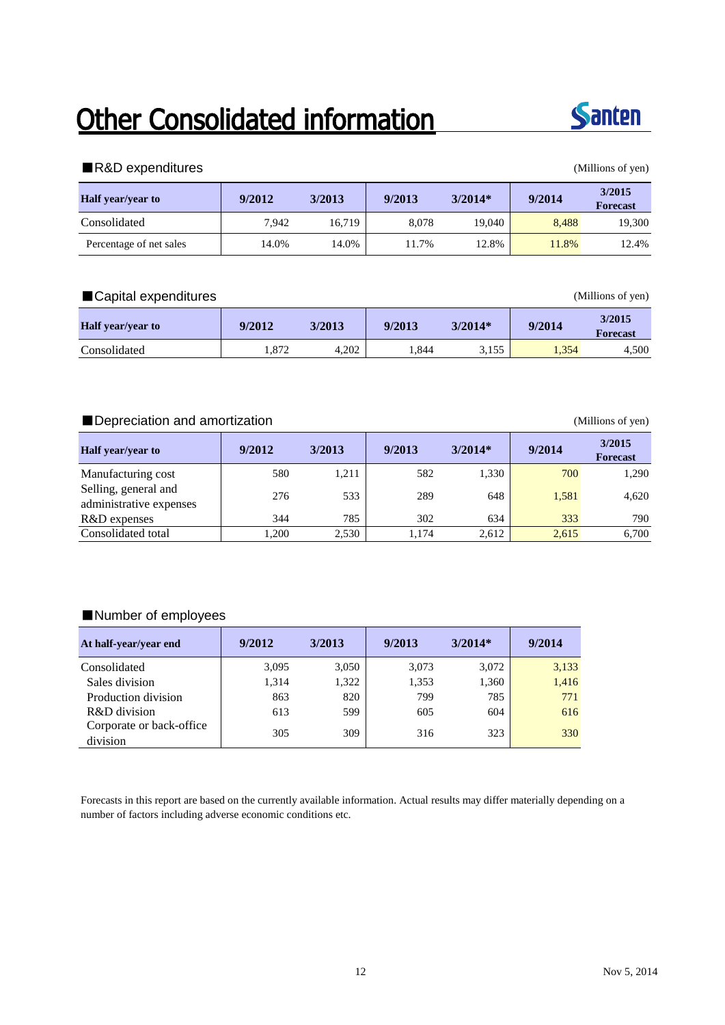# Other Consolidated information



#### ■R&D expenditures (Millions of yen)

| <b>Half</b> year/year to | 9/2012 | 3/2013 | 9/2013 | $3/2014*$ | 9/2014 | 3/2015<br><b>Forecast</b> |
|--------------------------|--------|--------|--------|-----------|--------|---------------------------|
| Consolidated             | 7.942  | 16.719 | 8.078  | 19.040    | 8.488  | 19,300                    |
| Percentage of net sales  | 14.0%  | 14.0%  | 1.7%   | 12.8%     | 11.8%  | 12.4%                     |

### ■Capital expenditures (Millions of yen)

| <b>Half</b> year/year to | 9/2012               | 3/2013 | 9/2013 | $3/2014*$ | 9/2014 | 3/2015<br><b>Forecast</b> |
|--------------------------|----------------------|--------|--------|-----------|--------|---------------------------|
| Consolidated             | $Q7^{\circ}$<br>.812 | 4.202  | 1,844  | 3,155     | 1,354  | 4,500                     |

### ■ Depreciation and amortization (Millions of yen)

| <b>Half</b> year/year to                        | 9/2012 | 3/2013 | 9/2013 | $3/2014*$ | 9/2014 | 3/2015<br><b>Forecast</b> |
|-------------------------------------------------|--------|--------|--------|-----------|--------|---------------------------|
| Manufacturing cost                              | 580    | 1,211  | 582    | 1,330     | 700    | 1,290                     |
| Selling, general and<br>administrative expenses | 276    | 533    | 289    | 648       | 1,581  | 4.620                     |
| R&D expenses                                    | 344    | 785    | 302    | 634       | 333    | 790                       |
| Consolidated total                              | .200   | 2,530  | 1.174  | 2,612     | 2,615  | 6.700                     |

### ■Number of employees

| At half-year/year end                | 9/2012 | 3/2013 | 9/2013 | $3/2014*$ | 9/2014 |
|--------------------------------------|--------|--------|--------|-----------|--------|
| Consolidated                         | 3.095  | 3,050  | 3.073  | 3,072     | 3,133  |
| Sales division                       | 1,314  | 1,322  | 1,353  | 1,360     | 1,416  |
| Production division                  | 863    | 820    | 799    | 785       | 771    |
| R&D division                         | 613    | 599    | 605    | 604       | 616    |
| Corporate or back-office<br>division | 305    | 309    | 316    | 323       | 330    |

Forecasts in this report are based on the currently available information. Actual results may differ materially depending on a number of factors including adverse economic conditions etc.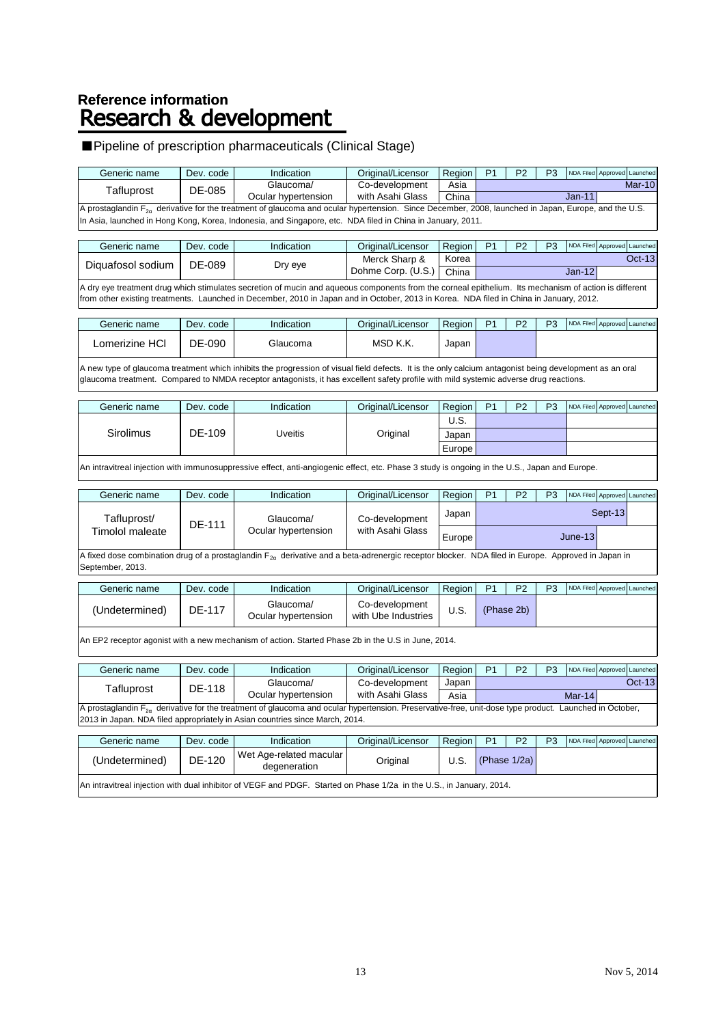# Reference information<br>Research & development

### ■Pipeline of prescription pharmaceuticals (Clinical Stage)

| Generic name                                                                                                                                                                                                                                                                                     | Dev. code | Indication                                                                                                                                                                                                                                                                                       | Original/Licensor                     | Region        | P <sub>1</sub> | P <sub>2</sub> | P <sub>3</sub> | NDA Filed                   | Approved Launched |  |  |  |
|--------------------------------------------------------------------------------------------------------------------------------------------------------------------------------------------------------------------------------------------------------------------------------------------------|-----------|--------------------------------------------------------------------------------------------------------------------------------------------------------------------------------------------------------------------------------------------------------------------------------------------------|---------------------------------------|---------------|----------------|----------------|----------------|-----------------------------|-------------------|--|--|--|
| Tafluprost                                                                                                                                                                                                                                                                                       | DE-085    | Glaucoma/<br>Ocular hypertension                                                                                                                                                                                                                                                                 | Co-development<br>with Asahi Glass    | Asia<br>China |                |                |                | $Jan-11$                    | <b>Mar-10</b>     |  |  |  |
|                                                                                                                                                                                                                                                                                                  |           | A prostaglandin F <sub>2a</sub> derivative for the treatment of glaucoma and ocular hypertension. Since December, 2008, launched in Japan, Europe, and the U.S.                                                                                                                                  |                                       |               |                |                |                |                             |                   |  |  |  |
|                                                                                                                                                                                                                                                                                                  |           | In Asia, launched in Hong Kong, Korea, Indonesia, and Singapore, etc. NDA filed in China in January, 2011.                                                                                                                                                                                       |                                       |               |                |                |                |                             |                   |  |  |  |
| Generic name                                                                                                                                                                                                                                                                                     | Dev. code | Indication                                                                                                                                                                                                                                                                                       | Original/Licensor                     | Region        | P <sub>1</sub> | P <sub>2</sub> | P <sub>3</sub> | NDA Filed Approved Launched |                   |  |  |  |
|                                                                                                                                                                                                                                                                                                  |           |                                                                                                                                                                                                                                                                                                  | Merck Sharp &                         | Korea         |                |                |                |                             | <b>Oct-13</b>     |  |  |  |
| Diquafosol sodium                                                                                                                                                                                                                                                                                | DE-089    | Dry eye                                                                                                                                                                                                                                                                                          | Dohme Corp. (U.S.)                    | China         |                |                |                | $Jan-12$                    |                   |  |  |  |
| A dry eye treatment drug which stimulates secretion of mucin and aqueous components from the corneal epithelium. Its mechanism of action is different<br>from other existing treatments. Launched in December, 2010 in Japan and in October, 2013 in Korea. NDA filed in China in January, 2012. |           |                                                                                                                                                                                                                                                                                                  |                                       |               |                |                |                |                             |                   |  |  |  |
| Generic name                                                                                                                                                                                                                                                                                     | Dev. code | Indication                                                                                                                                                                                                                                                                                       | Original/Licensor                     | Region        | P <sub>1</sub> | P <sub>2</sub> | P <sub>3</sub> | <b>NDA Filed</b>            | Approved Launched |  |  |  |
| Lomerizine HCI                                                                                                                                                                                                                                                                                   | DE-090    | Glaucoma                                                                                                                                                                                                                                                                                         | MSD K.K.                              | Japan         |                |                |                |                             |                   |  |  |  |
|                                                                                                                                                                                                                                                                                                  |           | A new type of glaucoma treatment which inhibits the progression of visual field defects. It is the only calcium antagonist being development as an oral<br>glaucoma treatment. Compared to NMDA receptor antagonists, it has excellent safety profile with mild systemic adverse drug reactions. |                                       |               |                |                |                |                             |                   |  |  |  |
| Generic name                                                                                                                                                                                                                                                                                     | Dev. code | Indication                                                                                                                                                                                                                                                                                       | Original/Licensor                     | Region        | P <sub>1</sub> | P <sub>2</sub> | P <sub>3</sub> | NDA Filed Approved Launched |                   |  |  |  |
|                                                                                                                                                                                                                                                                                                  |           |                                                                                                                                                                                                                                                                                                  |                                       | U.S.          |                |                |                |                             |                   |  |  |  |
| Sirolimus                                                                                                                                                                                                                                                                                        | DE-109    | <b>Uveitis</b>                                                                                                                                                                                                                                                                                   | Original                              | Japan         |                |                |                |                             |                   |  |  |  |
|                                                                                                                                                                                                                                                                                                  |           |                                                                                                                                                                                                                                                                                                  |                                       |               |                |                |                |                             |                   |  |  |  |
|                                                                                                                                                                                                                                                                                                  |           |                                                                                                                                                                                                                                                                                                  |                                       | Europe        |                |                |                |                             |                   |  |  |  |
|                                                                                                                                                                                                                                                                                                  |           | An intravitreal injection with immunosuppressive effect, anti-angiogenic effect, etc. Phase 3 study is ongoing in the U.S., Japan and Europe.                                                                                                                                                    |                                       |               |                |                |                |                             |                   |  |  |  |
| Generic name                                                                                                                                                                                                                                                                                     | Dev. code | Indication                                                                                                                                                                                                                                                                                       | Original/Licensor                     | Region        | P <sub>1</sub> | P <sub>2</sub> | P <sub>3</sub> | NDA Filed                   | Approved Launched |  |  |  |
| Tafluprost/                                                                                                                                                                                                                                                                                      | DE-111    | Glaucoma/                                                                                                                                                                                                                                                                                        | Co-development                        | Japan         |                |                |                | Sept-13                     |                   |  |  |  |
| <b>Timolol maleate</b>                                                                                                                                                                                                                                                                           |           | Ocular hypertension                                                                                                                                                                                                                                                                              | with Asahi Glass                      | Europe        |                |                |                | June-13                     |                   |  |  |  |
| September, 2013.                                                                                                                                                                                                                                                                                 |           | A fixed dose combination drug of a prostaglandin F <sub>2a</sub> derivative and a beta-adrenergic receptor blocker. NDA filed in Europe. Approved in Japan in                                                                                                                                    |                                       |               |                |                |                |                             |                   |  |  |  |
| Generic name                                                                                                                                                                                                                                                                                     | Dev. code | Indication                                                                                                                                                                                                                                                                                       | Original/Licensor                     | Region        | P <sub>1</sub> | P <sub>2</sub> | P <sub>3</sub> | NDA Filed                   | Approved Launched |  |  |  |
| (Undetermined)                                                                                                                                                                                                                                                                                   | DE-117    | Glaucoma/<br>Ocular hypertension                                                                                                                                                                                                                                                                 | Co-development<br>with Ube Industries | U.S.          |                | (Phase 2b)     |                |                             |                   |  |  |  |
|                                                                                                                                                                                                                                                                                                  |           | An EP2 receptor agonist with a new mechanism of action. Started Phase 2b in the U.S in June, 2014.                                                                                                                                                                                               |                                       |               |                |                |                |                             |                   |  |  |  |
| Generic name                                                                                                                                                                                                                                                                                     | Dev. code | Indication                                                                                                                                                                                                                                                                                       | Original/Licensor                     | Region        | P <sub>1</sub> | P <sub>2</sub> | P <sub>3</sub> | NDA Filed Approved Launched |                   |  |  |  |
|                                                                                                                                                                                                                                                                                                  |           | Glaucoma/                                                                                                                                                                                                                                                                                        | Co-development                        | Japan         |                |                |                |                             | $Oct-13$          |  |  |  |
| DE-118<br>Tafluprost<br>Ocular hypertension<br>with Asahi Glass<br>Mar-14<br>Asia                                                                                                                                                                                                                |           |                                                                                                                                                                                                                                                                                                  |                                       |               |                |                |                |                             |                   |  |  |  |
|                                                                                                                                                                                                                                                                                                  |           | A prostaglandin $F_{2a}$ derivative for the treatment of glaucoma and ocular hypertension. Preservative-free, unit-dose type product. Launched in October,<br>2013 in Japan. NDA filed appropriately in Asian countries since March, 2014.                                                       |                                       |               |                |                |                |                             |                   |  |  |  |
| Generic name                                                                                                                                                                                                                                                                                     | Dev. code | Indication                                                                                                                                                                                                                                                                                       | Original/Licensor                     | Region        | P <sub>1</sub> | P <sub>2</sub> | P <sub>3</sub> | NDA Filed Approved Launched |                   |  |  |  |
| (Undetermined)                                                                                                                                                                                                                                                                                   | DE-120    | Wet Age-related macular<br>degeneration                                                                                                                                                                                                                                                          | Original                              | U.S.          |                | (Phase 1/2a)   |                |                             |                   |  |  |  |
|                                                                                                                                                                                                                                                                                                  |           | An intravitreal injection with dual inhibitor of VEGF and PDGF. Started on Phase 1/2a in the U.S., in January, 2014.                                                                                                                                                                             |                                       |               |                |                |                |                             |                   |  |  |  |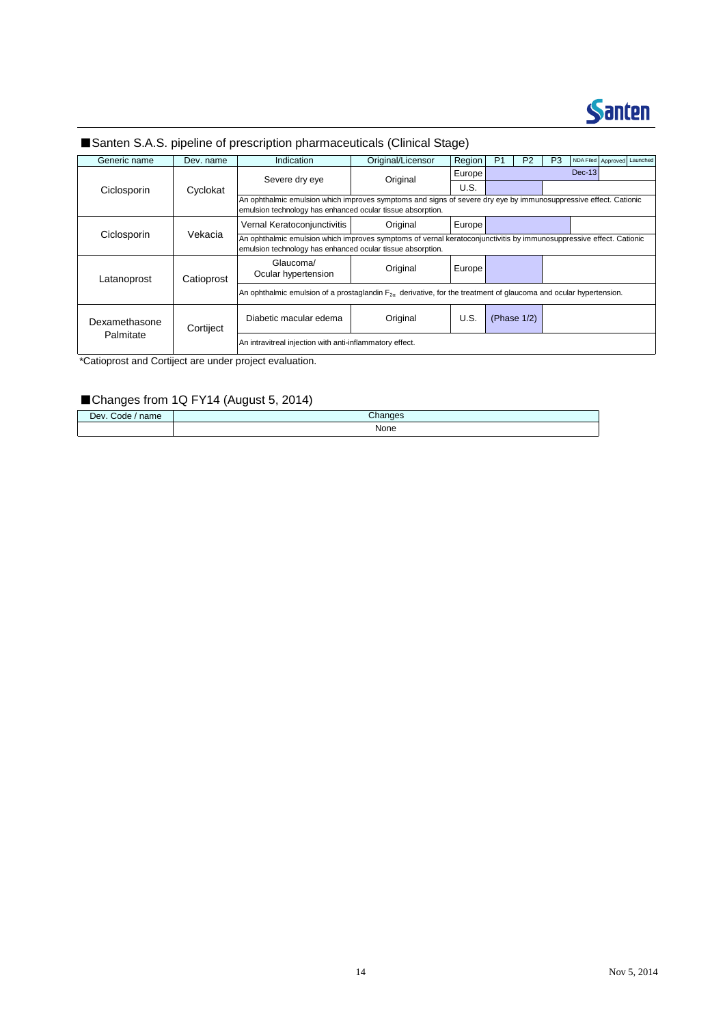

### ■Santen S.A.S. pipeline of prescription pharmaceuticals (Clinical Stage)

| Generic name  | Dev. name  | Indication                                                                                                                                                                        | Original/Licensor               | Region | P <sub>1</sub> | P <sub>2</sub> | P <sub>3</sub> | NDA Filed Approved Launched |  |  |  |  |
|---------------|------------|-----------------------------------------------------------------------------------------------------------------------------------------------------------------------------------|---------------------------------|--------|----------------|----------------|----------------|-----------------------------|--|--|--|--|
|               |            |                                                                                                                                                                                   |                                 | Europe |                |                |                | $Dec-13$                    |  |  |  |  |
| Ciclosporin   | Cyclokat   | Severe dry eye                                                                                                                                                                    | Original                        | U.S.   |                |                |                |                             |  |  |  |  |
|               |            | An ophthalmic emulsion which improves symptoms and signs of severe dry eye by immunosuppressive effect. Cationic<br>emulsion technology has enhanced ocular tissue absorption.    |                                 |        |                |                |                |                             |  |  |  |  |
|               |            | Vernal Keratoconjunctivitis                                                                                                                                                       | Original                        | Europe |                |                |                |                             |  |  |  |  |
| Ciclosporin   | Vekacia    | An ophthalmic emulsion which improves symptoms of vernal keratoconjunctivitis by immunosuppressive effect. Cationic<br>emulsion technology has enhanced ocular tissue absorption. |                                 |        |                |                |                |                             |  |  |  |  |
| Latanoprost   | Catioprost | Glaucoma/<br>Ocular hypertension                                                                                                                                                  | Original                        | Europe |                |                |                |                             |  |  |  |  |
|               |            | An ophthalmic emulsion of a prostaglandin $F_{2n}$ derivative, for the treatment of glaucoma and ocular hypertension.                                                             |                                 |        |                |                |                |                             |  |  |  |  |
| Dexamethasone | Cortiject  | Diabetic macular edema                                                                                                                                                            | U.S.<br>(Phase 1/2)<br>Original |        |                |                |                |                             |  |  |  |  |
| Palmitate     |            | An intravitreal injection with anti-inflammatory effect.                                                                                                                          |                                 |        |                |                |                |                             |  |  |  |  |

\*Catioprost and Cortiject are under project evaluation.

### ■Changes from 1Q FY14 (August 5, 2014)

| ∕. Code<br>Dev.<br>name | Changes |
|-------------------------|---------|
|                         | None    |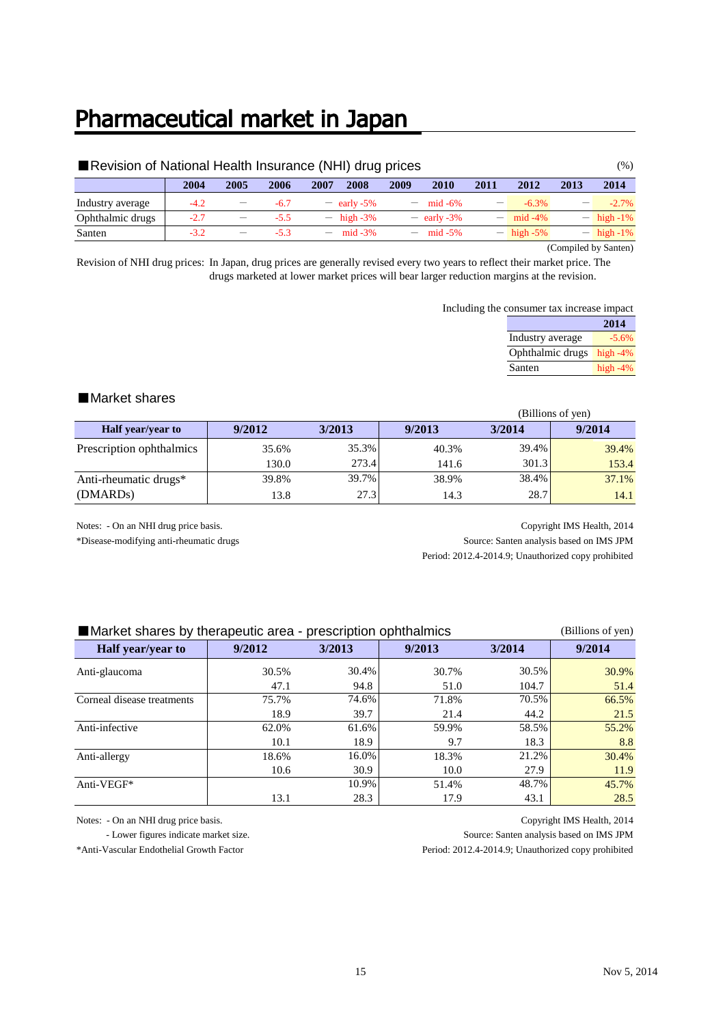### Pharmaceutical market in Japan

| Revision of National Health Insurance (NHI) drug prices<br>$(\%)$                                         |                                                                                      |                          |        |                 |                      |                          |                     |  |              |  |  |  |  |
|-----------------------------------------------------------------------------------------------------------|--------------------------------------------------------------------------------------|--------------------------|--------|-----------------|----------------------|--------------------------|---------------------|--|--------------|--|--|--|--|
|                                                                                                           | 2014<br>2013<br>2004<br>2005<br>2006<br>2010<br>2009<br>2007<br>2008<br>2011<br>2012 |                          |        |                 |                      |                          |                     |  |              |  |  |  |  |
| Industry average                                                                                          | $-4.2$                                                                               |                          | $-6.7$ | $-$ early -5%   | $- \text{mid } -6\%$ | $\overline{\phantom{m}}$ | $-6.3\%$            |  | $-2.7\%$     |  |  |  |  |
| Ophthalmic drugs                                                                                          | $-2.7$                                                                               | $\overline{\phantom{m}}$ | $-5.5$ | $-$ high $-3\%$ | $-$ early -3%        |                          | $- \text{mid} -4\%$ |  | $-$ high -1% |  |  |  |  |
| $-$ high -1%<br>$- \text{mid} -5\%$<br>$-$ high -5%<br>Santen<br>$-3.2$<br>$- \text{mid } -3\%$<br>$-5.3$ |                                                                                      |                          |        |                 |                      |                          |                     |  |              |  |  |  |  |

(Compiled by Santen)

Revision of NHI drug prices: In Japan, drug prices are generally revised every two years to reflect their market price. The drugs marketed at lower market prices will bear larger reduction margins at the revision.

Including the consumer tax increase impact

|                  | 2014       |
|------------------|------------|
| Industry average | $-5.6\%$   |
| Ophthalmic drugs | high $-4%$ |
| Santen           | high $-4%$ |

#### ■Market shares

|                          | (Billions of yen) |        |        |        |        |  |  |
|--------------------------|-------------------|--------|--------|--------|--------|--|--|
| <b>Half</b> year/year to | 9/2012            | 3/2013 | 9/2013 | 3/2014 | 9/2014 |  |  |
| Prescription ophthalmics | 35.6%             | 35.3%  | 40.3%  | 39.4%  | 39.4%  |  |  |
|                          | 130.0             | 273.4  | 141.6  | 301.3  | 153.4  |  |  |
| Anti-rheumatic drugs*    | 39.8%             | 39.7%  | 38.9%  | 38.4%  | 37.1%  |  |  |
| (DMARD <sub>s</sub> )    | 13.8              | 27.3   | 14.3   | 28.7   | 14.1   |  |  |

Notes: - On an NHI drug price basis. Copyright IMS Health, 2014 \*Disease-modifying anti-rheumatic drugs Source: Santen analysis based on IMS JPM

Period: 2012.4-2014.9; Unauthorized copy prohibited

| Market shares by therapeutic area - prescription ophthalmics<br>(Billions of yen) |        |        |        |        |        |  |  |  |  |  |  |
|-----------------------------------------------------------------------------------|--------|--------|--------|--------|--------|--|--|--|--|--|--|
| Half year/year to                                                                 | 9/2012 | 3/2013 | 9/2013 | 3/2014 | 9/2014 |  |  |  |  |  |  |
| Anti-glaucoma                                                                     | 30.5%  | 30.4%  | 30.7%  | 30.5%  | 30.9%  |  |  |  |  |  |  |
|                                                                                   | 47.1   | 94.8   | 51.0   | 104.7  | 51.4   |  |  |  |  |  |  |
| Corneal disease treatments                                                        | 75.7%  | 74.6%  | 71.8%  | 70.5%  | 66.5%  |  |  |  |  |  |  |
|                                                                                   | 18.9   | 39.7   | 21.4   | 44.2   | 21.5   |  |  |  |  |  |  |
| Anti-infective                                                                    | 62.0%  | 61.6%  | 59.9%  | 58.5%  | 55.2%  |  |  |  |  |  |  |
|                                                                                   | 10.1   | 18.9   | 9.7    | 18.3   | 8.8    |  |  |  |  |  |  |
| Anti-allergy                                                                      | 18.6%  | 16.0%  | 18.3%  | 21.2%  | 30.4%  |  |  |  |  |  |  |
|                                                                                   | 10.6   | 30.9   | 10.0   | 27.9   | 11.9   |  |  |  |  |  |  |
| Anti-VEGF*                                                                        |        | 10.9%  | 51.4%  | 48.7%  | 45.7%  |  |  |  |  |  |  |
|                                                                                   | 13.1   | 28.3   | 17.9   | 43.1   | 28.5   |  |  |  |  |  |  |

Notes: - On an NHI drug price basis. Copyright IMS Health, 2014

 - Lower figures indicate market size. Source: Santen analysis based on IMS JPM \*Anti-Vascular Endothelial Growth Factor Period: 2012.4-2014.9; Unauthorized copy prohibited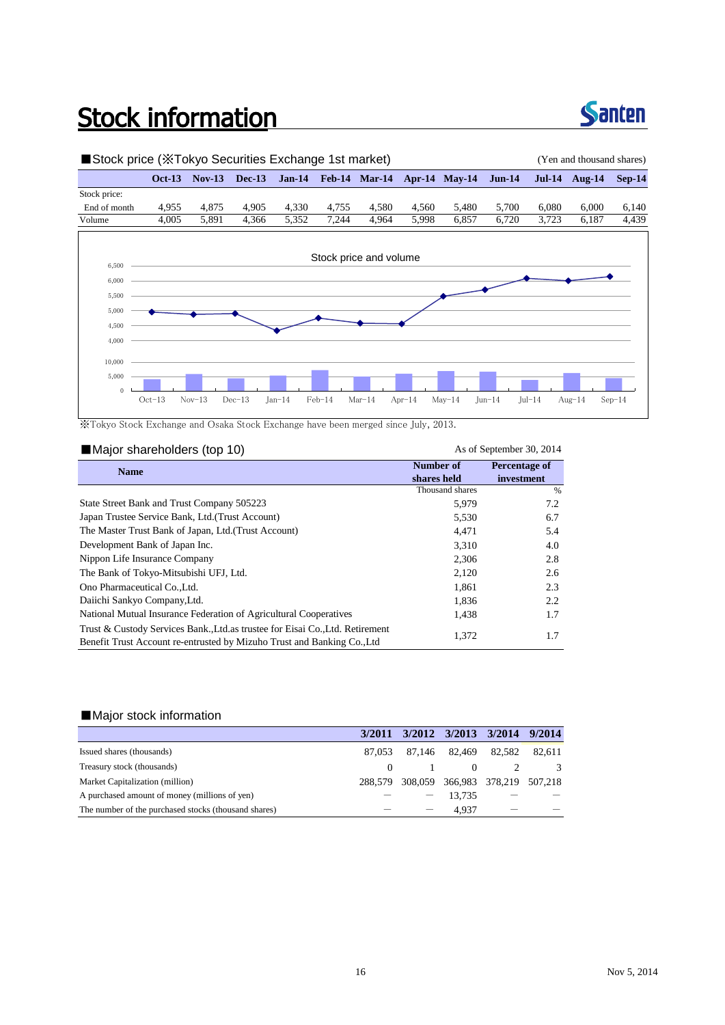## **Stock information**



### ■Stock price (※Tokyo Securities Exchange 1st market) (Yen and thousand shares) **Oct-13 Nov-13 Dec-13 Jan-14 Feb-14 Mar-14 Apr-14 May-14 Jun-14 Jul-14 Aug-14 Sep-14** Stock price: End of month 4,955 4,875 4,905 4,330 4,755 4,580 4,560 5,480 5,700 6,080 6,000 6,140 Volume 4,005 5,891 4,366 5,352 7,244 4,964 5,998 6,857 6,720 3,723 6,187 4,439 4,000 4,500 5,000 5,500 6,000 6,500 Stock price and volume 0 5,000 10,000 Oct-13 Nov-13 Dec-13 Jan-14 Feb-14 Mar-14 Apr-14 May-14 Jun-14 Jul-14 Aug-14 Sep-14

※Tokyo Stock Exchange and Osaka Stock Exchange have been merged since July, 2013.

| Major shareholders (top 10)                                                                                                                              |                 | As of September 30, 2014 |
|----------------------------------------------------------------------------------------------------------------------------------------------------------|-----------------|--------------------------|
| <b>Name</b>                                                                                                                                              | Number of       | Percentage of            |
|                                                                                                                                                          | shares held     | investment               |
|                                                                                                                                                          | Thousand shares | %                        |
| State Street Bank and Trust Company 505223                                                                                                               | 5,979           | 7.2                      |
| Japan Trustee Service Bank, Ltd. (Trust Account)                                                                                                         | 5,530           | 6.7                      |
| The Master Trust Bank of Japan, Ltd. (Trust Account)                                                                                                     | 4,471           | 5.4                      |
| Development Bank of Japan Inc.                                                                                                                           | 3,310           | 4.0                      |
| Nippon Life Insurance Company                                                                                                                            | 2,306           | 2.8                      |
| The Bank of Tokyo-Mitsubishi UFJ, Ltd.                                                                                                                   | 2,120           | 2.6                      |
| Ono Pharmaceutical Co., Ltd.                                                                                                                             | 1,861           | 2.3                      |
| Daiichi Sankyo Company, Ltd.                                                                                                                             | 1,836           | 2.2                      |
| National Mutual Insurance Federation of Agricultural Cooperatives                                                                                        | 1,438           | 1.7                      |
| Trust & Custody Services Bank, Ltd. as trustee for Eisai Co., Ltd. Retirement<br>Benefit Trust Account re-entrusted by Mizuho Trust and Banking Co., Ltd | 1,372           | 1.7                      |

#### ■Major stock information

|                                                      | 3/2011  | 3/2012 3/2013 3/2014 9/2014     |        |        |
|------------------------------------------------------|---------|---------------------------------|--------|--------|
| Issued shares (thousands)                            | 87.053  | 87,146 82,469                   | 82.582 | 82,611 |
| Treasury stock (thousands)                           |         |                                 |        | -3     |
| Market Capitalization (million)                      | 288.579 | 308,059 366,983 378,219 507,218 |        |        |
| A purchased amount of money (millions of yen)        |         | 13.735                          |        |        |
| The number of the purchased stocks (thousand shares) |         | 4.937                           |        |        |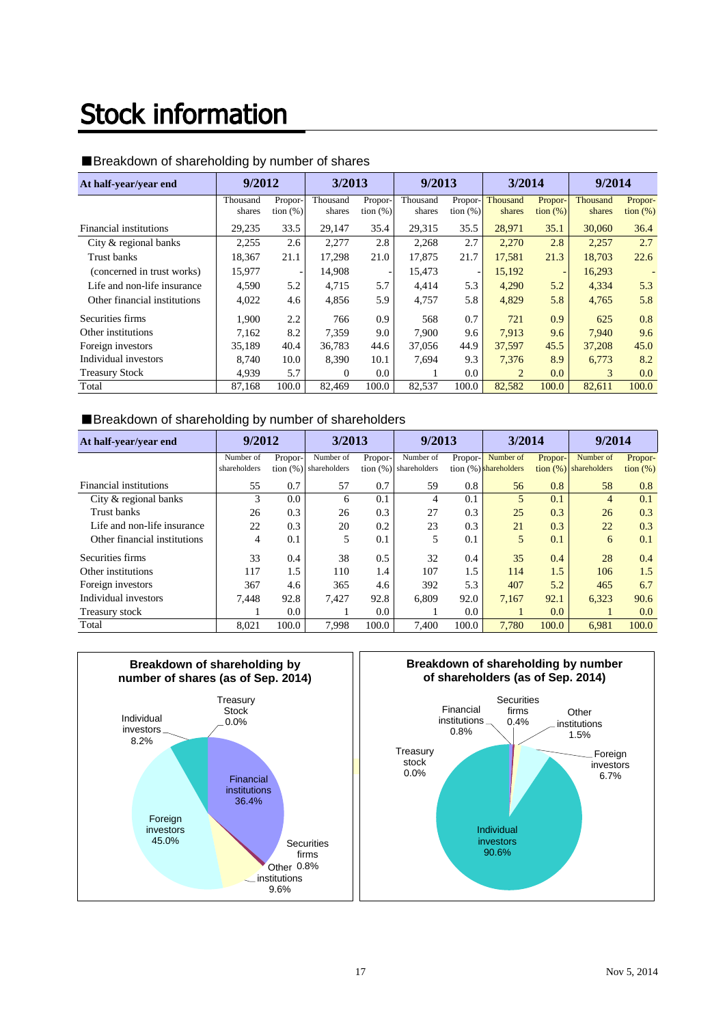# **Stock information**

| At half-year/year end        | 9/2012             |                        | 3/2013             |                              | 9/2013             |                          | 3/2014             |                          | 9/2014             |                        |
|------------------------------|--------------------|------------------------|--------------------|------------------------------|--------------------|--------------------------|--------------------|--------------------------|--------------------|------------------------|
|                              | Thousand<br>shares | Propor-<br>tion $(\%)$ | Thousand<br>shares | Propor-<br>$\frac{1}{2}$ (%) | Thousand<br>shares | Propor-<br>tion $(\%)$   | Thousand<br>shares | Propor-<br>tion $(\%)$   | Thousand<br>shares | Propor-<br>tion $(\%)$ |
| Financial institutions       | 29,235             | 33.5                   | 29,147             | 35.4                         | 29,315             | 35.5                     | 28,971             | 35.1                     | 30,060             | 36.4                   |
| City & regional banks        | 2,255              | 2.6                    | 2,277              | 2.8                          | 2,268              | 2.7                      | 2.270              | 2.8                      | 2,257              | 2.7                    |
| Trust banks                  | 18,367             | 21.1                   | 17.298             | 21.0                         | 17.875             | 21.7                     | 17.581             | 21.3                     | 18,703             | 22.6                   |
| (concerned in trust works)   | 15,977             |                        | 14,908             |                              | 15,473             | $\overline{\phantom{a}}$ | 15,192             | $\overline{\phantom{a}}$ | 16,293             |                        |
| Life and non-life insurance  | 4.590              | 5.2                    | 4.715              | 5.7                          | 4.414              | 5.3                      | 4.290              | 5.2                      | 4,334              | 5.3                    |
| Other financial institutions | 4,022              | 4.6                    | 4,856              | 5.9                          | 4,757              | 5.8                      | 4,829              | 5.8                      | 4,765              | 5.8                    |
| Securities firms             | 1,900              | 2.2                    | 766                | 0.9                          | 568                | 0.7                      | 721                | 0.9                      | 625                | 0.8                    |
| Other institutions           | 7.162              | 8.2                    | 7.359              | 9.0                          | 7.900              | 9.6                      | 7.913              | 9.6                      | 7.940              | 9.6                    |
| Foreign investors            | 35.189             | 40.4                   | 36,783             | 44.6                         | 37,056             | 44.9                     | 37,597             | 45.5                     | 37,208             | 45.0                   |
| Individual investors         | 8.740              | 10.0                   | 8,390              | 10.1                         | 7,694              | 9.3                      | 7,376              | 8.9                      | 6,773              | 8.2                    |
| <b>Treasury Stock</b>        | 4.939              | 5.7                    | $\Omega$           | 0.0                          |                    | 0.0                      | $\overline{c}$     | 0.0                      | 3                  | 0.0                    |
| Total                        | 87,168             | 100.0                  | 82,469             | 100.0                        | 82,537             | 100.0                    | 82,582             | 100.0                    | 82,611             | 100.0                  |

### ■Breakdown of shareholding by number of shares

#### ■Breakdown of shareholding by number of shareholders

| At half-year/year end        | 9/2012       |             | 3/2013       |         | 9/2013                   |         | 3/2014                   |             | 9/2014         |             |
|------------------------------|--------------|-------------|--------------|---------|--------------------------|---------|--------------------------|-------------|----------------|-------------|
|                              | Number of    | Propor-     | Number of    | Propor- | Number of                | Propor- | Number of                | Propor-     | Number of      | Propor-     |
|                              | shareholders | tion $(\%)$ | shareholders |         | tion $(\%)$ shareholders |         | tion $(\%)$ shareholders | tion $(\%)$ | shareholders   | tion $(\%)$ |
| Financial institutions       | 55           | 0.7         | 57           | 0.7     | 59                       | 0.8     | 56                       | 0.8         | 58             | 0.8         |
| City & regional banks        | 3            | 0.0         | 6            | 0.1     | 4                        | 0.1     | 5                        | 0.1         | $\overline{4}$ | 0.1         |
| Trust banks                  | 26           | 0.3         | 26           | 0.3     | 27                       | 0.3     | 25                       | 0.3         | 26             | 0.3         |
| Life and non-life insurance  | 22           | 0.3         | 20           | 0.2     | 23                       | 0.3     | 21                       | 0.3         | 22             | 0.3         |
| Other financial institutions | 4            | 0.1         | 5            | 0.1     | 5                        | 0.1     | 5                        | 0.1         | 6              | 0.1         |
| Securities firms             | 33           | 0.4         | 38           | 0.5     | 32                       | 0.4     | 35                       | 0.4         | 28             | 0.4         |
| Other institutions           | 117          | 1.5         | 110          | 1.4     | 107                      | 1.5     | 114                      | 1.5         | 106            | 1.5         |
| Foreign investors            | 367          | 4.6         | 365          | 4.6     | 392                      | 5.3     | 407                      | 5.2         | 465            | 6.7         |
| Individual investors         | 7.448        | 92.8        | 7.427        | 92.8    | 6.809                    | 92.0    | 7.167                    | 92.1        | 6.323          | 90.6        |
| Treasury stock               |              | 0.0         |              | 0.0     |                          | 0.0     |                          | 0.0         |                | 0.0         |
| Total                        | 8.021        | 100.0       | 7.998        | 100.0   | 7.400                    | 100.0   | 7.780                    | 100.0       | 6.981          | 100.0       |



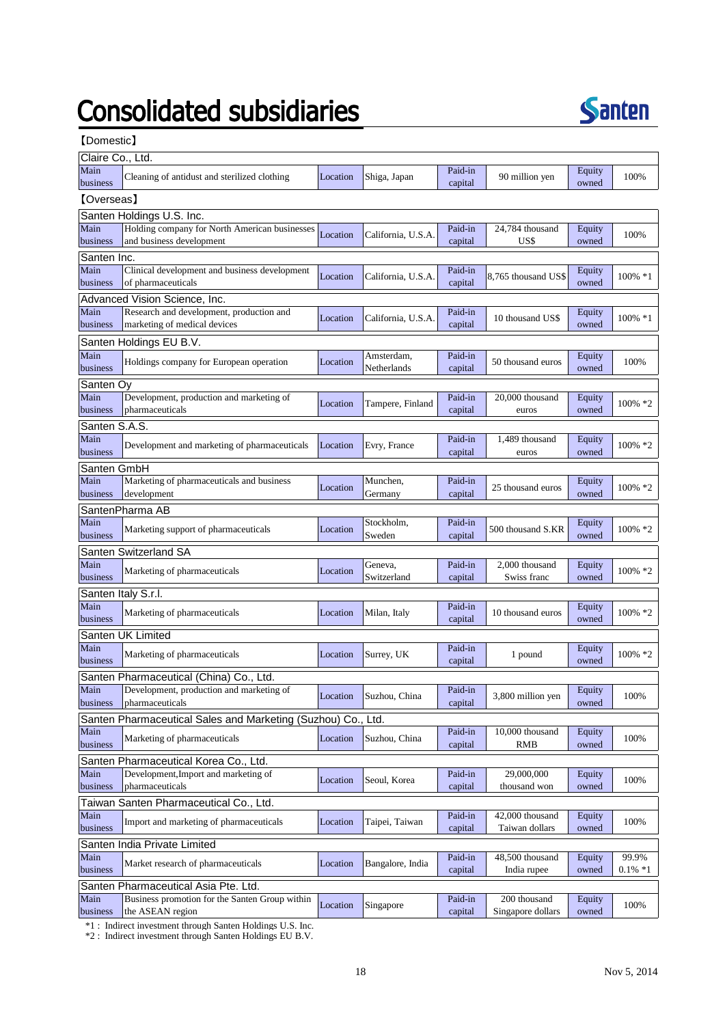# **Consolidated subsidiaries**



【Domestic】

| Claire Co., Ltd.          |                                                                               |          |                    |                    |                          |                 |            |  |  |
|---------------------------|-------------------------------------------------------------------------------|----------|--------------------|--------------------|--------------------------|-----------------|------------|--|--|
| Main<br>business          | Cleaning of antidust and sterilized clothing                                  | Location | Shiga, Japan       | Paid-in<br>capital | 90 million yen           | Equity<br>owned | 100%       |  |  |
| [Overseas]                |                                                                               |          |                    |                    |                          |                 |            |  |  |
| Santen Holdings U.S. Inc. |                                                                               |          |                    |                    |                          |                 |            |  |  |
| Main                      | Holding company for North American businesses                                 | Location | California, U.S.A. | Paid-in            | 24.784 thousand          | Equity          | 100%       |  |  |
| business                  | and business development                                                      |          |                    | capital            | US\$                     | owned           |            |  |  |
| Santen Inc.               |                                                                               |          |                    |                    |                          |                 |            |  |  |
| Main                      | Clinical development and business development                                 | Location | California, U.S.A. | Paid-in            | 8,765 thousand US\$      | Equity          | 100% *1    |  |  |
| business                  | of pharmaceuticals                                                            |          |                    | capital            |                          | owned           |            |  |  |
|                           | Advanced Vision Science, Inc.                                                 |          |                    |                    |                          |                 |            |  |  |
| Main                      | Research and development, production and                                      | Location | California, U.S.A. | Paid-in            | 10 thousand US\$         | Equity          | 100% *1    |  |  |
| business                  | marketing of medical devices                                                  |          |                    | capital            |                          | owned           |            |  |  |
|                           | Santen Holdings EU B.V.                                                       |          |                    |                    |                          |                 |            |  |  |
| Main                      | Holdings company for European operation                                       | Location | Amsterdam,         | Paid-in            | 50 thousand euros        | Equity          | 100%       |  |  |
| business                  |                                                                               |          | Netherlands        | capital            |                          | owned           |            |  |  |
| Santen Oy                 |                                                                               |          |                    |                    |                          |                 |            |  |  |
| Main<br>business          | Development, production and marketing of<br>pharmaceuticals                   | Location | Tampere, Finland   | Paid-in<br>capital | 20,000 thousand<br>euros | Equity<br>owned | 100% *2    |  |  |
|                           |                                                                               |          |                    |                    |                          |                 |            |  |  |
| Santen S.A.S.<br>Main     |                                                                               |          |                    | Paid-in            | 1.489 thousand           | Equity          |            |  |  |
| business                  | Development and marketing of pharmaceuticals                                  | Location | Evry, France       | capital            | euros                    | owned           | 100% *2    |  |  |
| Santen GmbH               |                                                                               |          |                    |                    |                          |                 |            |  |  |
| Main                      | Marketing of pharmaceuticals and business                                     |          | Munchen,           | Paid-in            |                          | Equity          |            |  |  |
| business                  | development                                                                   | Location | Germany            | capital            | 25 thousand euros        | owned           | $100\% *2$ |  |  |
|                           | SantenPharma AB                                                               |          |                    |                    |                          |                 |            |  |  |
| Main                      |                                                                               |          | Stockholm,         | Paid-in            |                          | Equity          |            |  |  |
| business                  | Marketing support of pharmaceuticals                                          | Location | Sweden             | capital            | 500 thousand S.KR        | owned           | 100% *2    |  |  |
|                           | Santen Switzerland SA                                                         |          |                    |                    |                          |                 |            |  |  |
| Main                      |                                                                               |          | Geneva,            | Paid-in            | 2,000 thousand           | Equity          | 100% *2    |  |  |
| business                  | Marketing of pharmaceuticals                                                  | Location | Switzerland        | capital            | Swiss franc              | owned           |            |  |  |
| Santen Italy S.r.l.       |                                                                               |          |                    |                    |                          |                 |            |  |  |
| Main                      | Marketing of pharmaceuticals                                                  | Location | Milan, Italy       | Paid-in            | 10 thousand euros        | Equity          | 100% *2    |  |  |
| business                  |                                                                               |          |                    | capital            |                          | owned           |            |  |  |
|                           | Santen UK Limited                                                             |          |                    |                    |                          |                 |            |  |  |
| Main                      | Marketing of pharmaceuticals                                                  | Location | Surrey, UK         | Paid-in            | 1 pound                  | Equity          | 100% *2    |  |  |
| business                  |                                                                               |          |                    | capital            |                          | owned           |            |  |  |
|                           | Santen Pharmaceutical (China) Co., Ltd.                                       |          |                    |                    |                          |                 |            |  |  |
| Main                      | Development, production and marketing of                                      | Location | Suzhou, China      | Paid-in            | 3,800 million yen        | Equity          | 100%       |  |  |
| business                  | pharmaceuticals                                                               |          |                    | capital            |                          | owned           |            |  |  |
|                           | Santen Pharmaceutical Sales and Marketing (Suzhou) Co., Ltd.                  |          |                    | Paid-in            |                          |                 |            |  |  |
| Main<br>business          | Marketing of pharmaceuticals                                                  | Location | Suzhou, China      | capital            | 10,000 thousand<br>RMB   | Equity<br>owned | 100%       |  |  |
|                           |                                                                               |          |                    |                    |                          |                 |            |  |  |
| Main                      | Santen Pharmaceutical Korea Co., Ltd.<br>Development, Import and marketing of |          |                    | Paid-in            | 29,000,000               | Equity          |            |  |  |
| business                  | pharmaceuticals                                                               | Location | Seoul, Korea       | capital            | thousand won             | owned           | 100%       |  |  |
|                           | Taiwan Santen Pharmaceutical Co., Ltd.                                        |          |                    |                    |                          |                 |            |  |  |
| Main                      |                                                                               |          |                    | Paid-in            | 42,000 thousand          | Equity          |            |  |  |
| business                  | Import and marketing of pharmaceuticals                                       | Location | Taipei, Taiwan     | capital            | Taiwan dollars           | owned           | 100%       |  |  |
|                           | Santen India Private Limited                                                  |          |                    |                    |                          |                 |            |  |  |
| Main                      |                                                                               |          |                    | Paid-in            | 48,500 thousand          | Equity          | 99.9%      |  |  |
| business                  | Market research of pharmaceuticals                                            | Location | Bangalore, India   | capital            | India rupee              | owned           | $0.1\% *1$ |  |  |
|                           | Santen Pharmaceutical Asia Pte. Ltd.                                          |          |                    |                    |                          |                 |            |  |  |
| Main                      | Business promotion for the Santen Group within                                |          |                    | Paid-in            | 200 thousand             | Equity          |            |  |  |
| business                  | the ASEAN region                                                              | Location | Singapore          | capital            | Singapore dollars        | owned           | 100%       |  |  |

\*1 : Indirect investment through Santen Holdings U.S. Inc.

\*2 : Indirect investment through Santen Holdings EU B.V.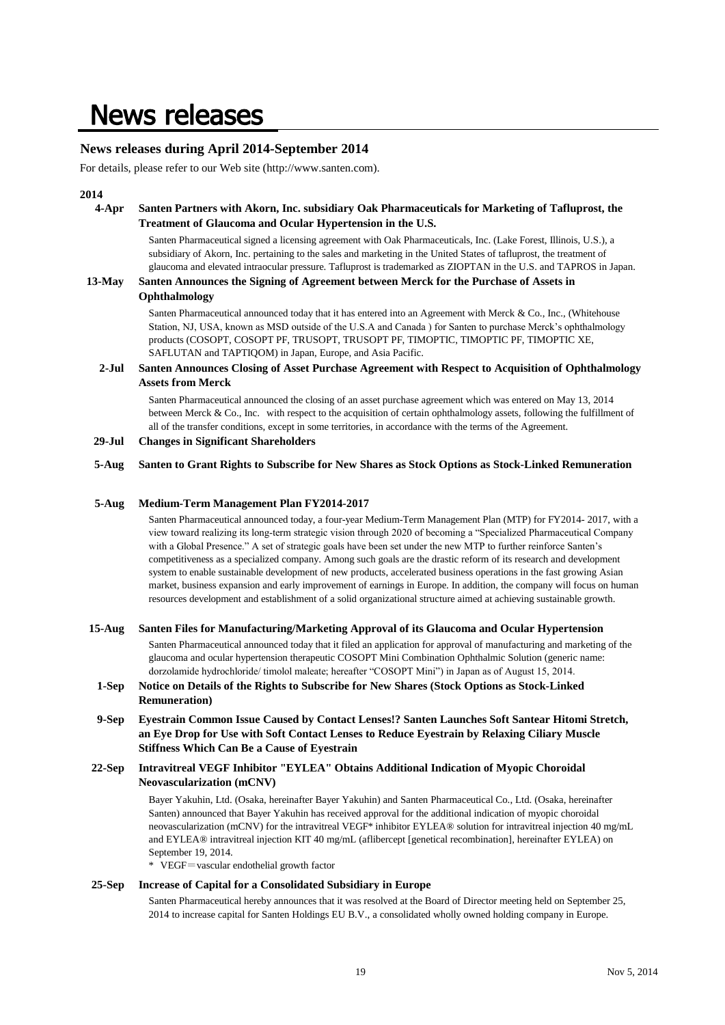### **News releases**

#### **News releases during April 2014-September 2014**

For details, please refer to our Web site (http://www.santen.com).

#### **2014**

#### **4-Apr Santen Partners with Akorn, Inc. subsidiary Oak Pharmaceuticals for Marketing of Tafluprost, the Treatment of Glaucoma and Ocular Hypertension in the U.S.**

Santen Pharmaceutical signed a licensing agreement with Oak Pharmaceuticals, Inc. (Lake Forest, Illinois, U.S.), a subsidiary of Akorn, Inc. pertaining to the sales and marketing in the United States of tafluprost, the treatment of glaucoma and elevated intraocular pressure. Tafluprost is trademarked as ZIOPTAN in the U.S. and TAPROS in Japan.

#### **13-May Santen Announces the Signing of Agreement between Merck for the Purchase of Assets in Ophthalmology**

Santen Pharmaceutical announced today that it has entered into an Agreement with Merck & Co., Inc., (Whitehouse Station, NJ, USA, known as MSD outside of the U.S.A and Canada ) for Santen to purchase Merck's ophthalmology products (COSOPT, COSOPT PF, TRUSOPT, TRUSOPT PF, TIMOPTIC, TIMOPTIC PF, TIMOPTIC XE, SAFLUTAN and TAPTIQOM) in Japan, Europe, and Asia Pacific.

#### **2-Jul Santen Announces Closing of Asset Purchase Agreement with Respect to Acquisition of Ophthalmology Assets from Merck**

Santen Pharmaceutical announced the closing of an asset purchase agreement which was entered on May 13, 2014 between Merck & Co., Inc. with respect to the acquisition of certain ophthalmology assets, following the fulfillment of all of the transfer conditions, except in some territories, in accordance with the terms of the Agreement.

#### **29-Jul Changes in Significant Shareholders**

#### **5-Aug Santen to Grant Rights to Subscribe for New Shares as Stock Options as Stock-Linked Remuneration**

#### **5-Aug Medium-Term Management Plan FY2014-2017**

Santen Pharmaceutical announced today, a four-year Medium-Term Management Plan (MTP) for FY2014- 2017, with a view toward realizing its long-term strategic vision through 2020 of becoming a "Specialized Pharmaceutical Company with a Global Presence." A set of strategic goals have been set under the new MTP to further reinforce Santen's competitiveness as a specialized company. Among such goals are the drastic reform of its research and development system to enable sustainable development of new products, accelerated business operations in the fast growing Asian market, business expansion and early improvement of earnings in Europe. In addition, the company will focus on human resources development and establishment of a solid organizational structure aimed at achieving sustainable growth.

#### **15-Aug Santen Files for Manufacturing/Marketing Approval of its Glaucoma and Ocular Hypertension**

Santen Pharmaceutical announced today that it filed an application for approval of manufacturing and marketing of the glaucoma and ocular hypertension therapeutic COSOPT Mini Combination Ophthalmic Solution (generic name: dorzolamide hydrochloride/ timolol maleate; hereafter "COSOPT Mini") in Japan as of August 15, 2014.

#### **1-Sep Notice on Details of the Rights to Subscribe for New Shares (Stock Options as Stock-Linked Remuneration)**

**9-Sep Eyestrain Common Issue Caused by Contact Lenses!? Santen Launches Soft Santear Hitomi Stretch, an Eye Drop for Use with Soft Contact Lenses to Reduce Eyestrain by Relaxing Ciliary Muscle Stiffness Which Can Be a Cause of Eyestrain**

#### **22-Sep Intravitreal VEGF Inhibitor "EYLEA" Obtains Additional Indication of Myopic Choroidal Neovascularization (mCNV)**

Bayer Yakuhin, Ltd. (Osaka, hereinafter Bayer Yakuhin) and Santen Pharmaceutical Co., Ltd. (Osaka, hereinafter Santen) announced that Bayer Yakuhin has received approval for the additional indication of myopic choroidal neovascularization (mCNV) for the intravitreal VEGF\* inhibitor EYLEA® solution for intravitreal injection 40 mg/mL and EYLEA® intravitreal injection KIT 40 mg/mL (aflibercept [genetical recombination], hereinafter EYLEA) on September 19, 2014.

\* VEGF=vascular endothelial growth factor

#### **25-Sep Increase of Capital for a Consolidated Subsidiary in Europe**

Santen Pharmaceutical hereby announces that it was resolved at the Board of Director meeting held on September 25, 2014 to increase capital for Santen Holdings EU B.V., a consolidated wholly owned holding company in Europe.